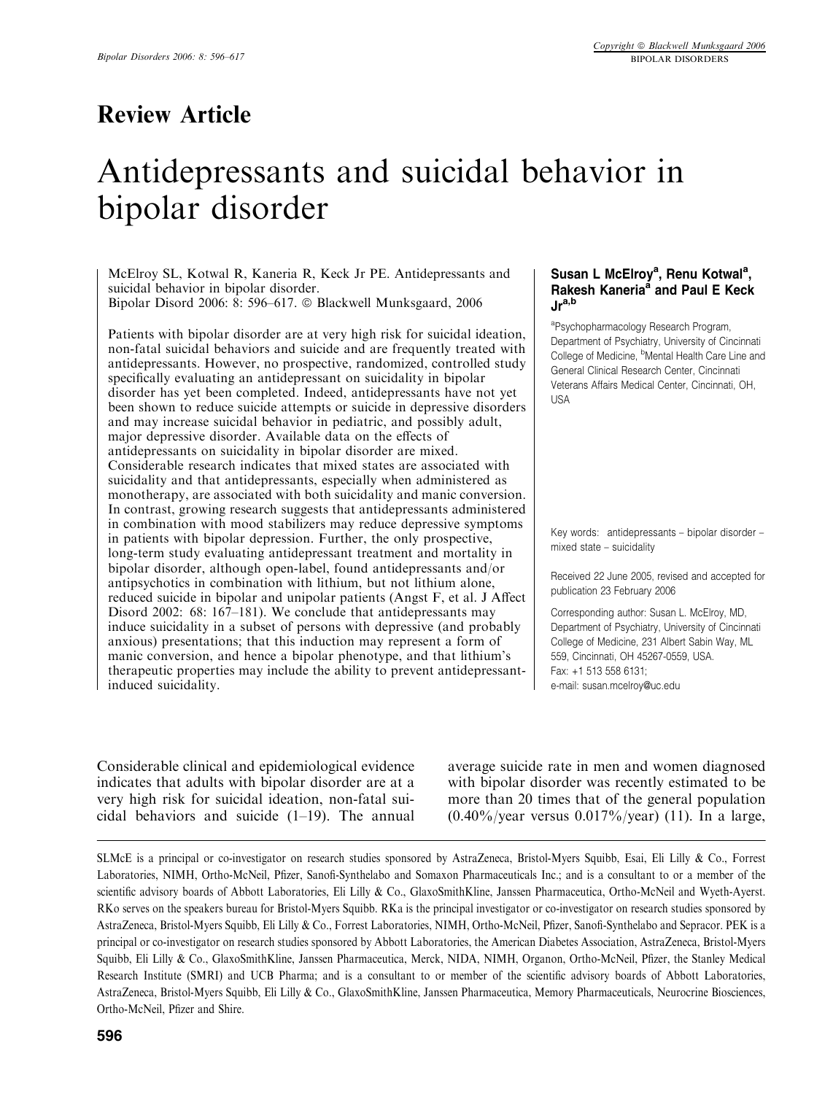# Review Article

# Antidepressants and suicidal behavior in bipolar disorder

McElroy SL, Kotwal R, Kaneria R, Keck Jr PE. Antidepressants and suicidal behavior in bipolar disorder. Bipolar Disord 2006: 8: 596–617. © Blackwell Munksgaard, 2006

Patients with bipolar disorder are at very high risk for suicidal ideation, non-fatal suicidal behaviors and suicide and are frequently treated with antidepressants. However, no prospective, randomized, controlled study specifically evaluating an antidepressant on suicidality in bipolar disorder has yet been completed. Indeed, antidepressants have not yet been shown to reduce suicide attempts or suicide in depressive disorders and may increase suicidal behavior in pediatric, and possibly adult, major depressive disorder. Available data on the effects of antidepressants on suicidality in bipolar disorder are mixed. Considerable research indicates that mixed states are associated with suicidality and that antidepressants, especially when administered as monotherapy, are associated with both suicidality and manic conversion. In contrast, growing research suggests that antidepressants administered in combination with mood stabilizers may reduce depressive symptoms in patients with bipolar depression. Further, the only prospective, long-term study evaluating antidepressant treatment and mortality in bipolar disorder, although open-label, found antidepressants and/or antipsychotics in combination with lithium, but not lithium alone, reduced suicide in bipolar and unipolar patients (Angst F, et al. J Affect Disord 2002: 68: 167–181). We conclude that antidepressants may induce suicidality in a subset of persons with depressive (and probably anxious) presentations; that this induction may represent a form of manic conversion, and hence a bipolar phenotype, and that lithium's therapeutic properties may include the ability to prevent antidepressantinduced suicidality.

#### Susan L McElroy<sup>a</sup>, Renu Kotwal<sup>a</sup>, Rakesh Kaneria<sup>a</sup> and Paul E Keck Jra,b

aPsychopharmacology Research Program, Department of Psychiatry, University of Cincinnati College of Medicine, <sup>b</sup>Mental Health Care Line and General Clinical Research Center, Cincinnati Veterans Affairs Medical Center, Cincinnati, OH, USA

Key words: antidepressants – bipolar disorder – mixed state – suicidality

Received 22 June 2005, revised and accepted for publication 23 February 2006

Corresponding author: Susan L. McElroy, MD, Department of Psychiatry, University of Cincinnati College of Medicine, 231 Albert Sabin Way, ML 559, Cincinnati, OH 45267-0559, USA. Fax: +1 513 558 6131; e-mail: susan.mcelroy@uc.edu

Considerable clinical and epidemiological evidence indicates that adults with bipolar disorder are at a very high risk for suicidal ideation, non-fatal suicidal behaviors and suicide  $(1-19)$ . The annual average suicide rate in men and women diagnosed with bipolar disorder was recently estimated to be more than 20 times that of the general population  $(0.40\%/year$  versus  $0.017\%/year)$  (11). In a large,

SLMcE is a principal or co-investigator on research studies sponsored by AstraZeneca, Bristol-Myers Squibb, Esai, Eli Lilly & Co., Forrest Laboratories, NIMH, Ortho-McNeil, Pfizer, Sanofi-Synthelabo and Somaxon Pharmaceuticals Inc.; and is a consultant to or a member of the scientific advisory boards of Abbott Laboratories, Eli Lilly & Co., GlaxoSmithKline, Janssen Pharmaceutica, Ortho-McNeil and Wyeth-Ayerst. RKo serves on the speakers bureau for Bristol-Myers Squibb. RKa is the principal investigator or co-investigator on research studies sponsored by AstraZeneca, Bristol-Myers Squibb, Eli Lilly & Co., Forrest Laboratories, NIMH, Ortho-McNeil, Pfizer, Sanofi-Synthelabo and Sepracor. PEK is a principal or co-investigator on research studies sponsored by Abbott Laboratories, the American Diabetes Association, AstraZeneca, Bristol-Myers Squibb, Eli Lilly & Co., GlaxoSmithKline, Janssen Pharmaceutica, Merck, NIDA, NIMH, Organon, Ortho-McNeil, Pfizer, the Stanley Medical Research Institute (SMRI) and UCB Pharma; and is a consultant to or member of the scientific advisory boards of Abbott Laboratories, AstraZeneca, Bristol-Myers Squibb, Eli Lilly & Co., GlaxoSmithKline, Janssen Pharmaceutica, Memory Pharmaceuticals, Neurocrine Biosciences, Ortho-McNeil, Pfizer and Shire.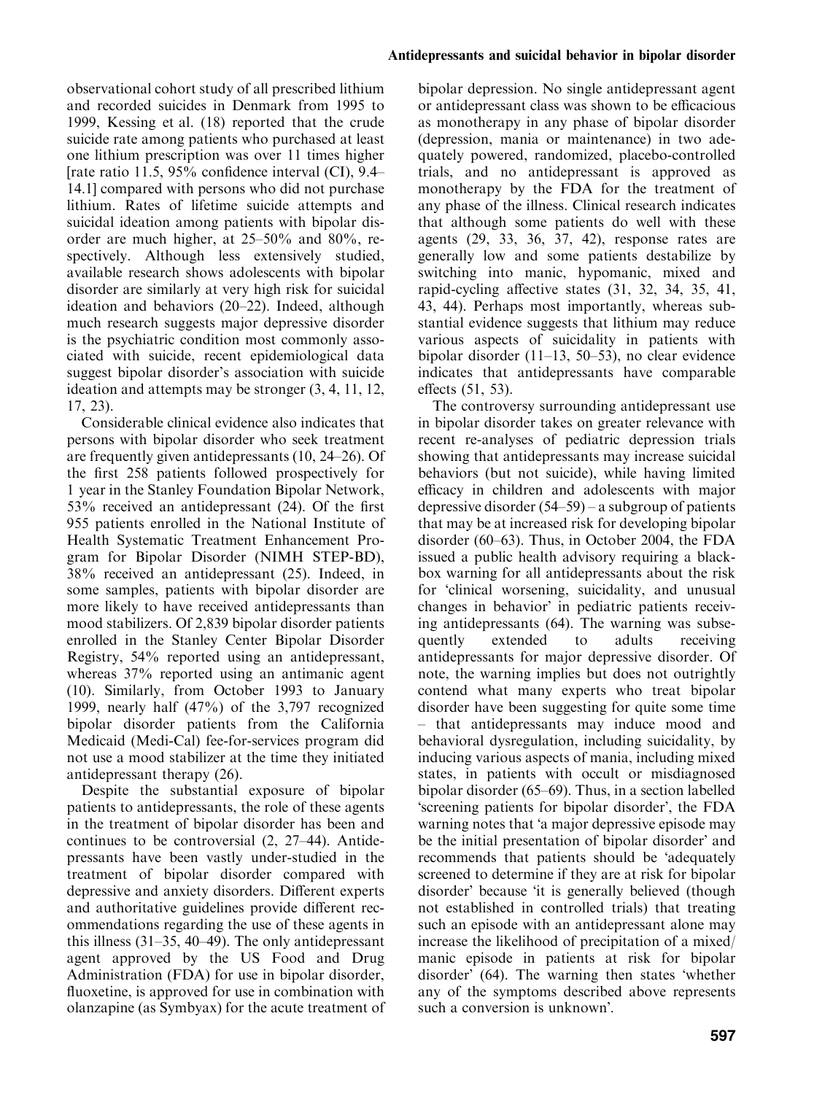observational cohort study of all prescribed lithium and recorded suicides in Denmark from 1995 to 1999, Kessing et al. (18) reported that the crude suicide rate among patients who purchased at least one lithium prescription was over 11 times higher [rate ratio 11.5, 95% confidence interval (CI), 9.4– 14.1] compared with persons who did not purchase lithium. Rates of lifetime suicide attempts and suicidal ideation among patients with bipolar disorder are much higher, at 25–50% and 80%, respectively. Although less extensively studied, available research shows adolescents with bipolar disorder are similarly at very high risk for suicidal ideation and behaviors (20–22). Indeed, although much research suggests major depressive disorder is the psychiatric condition most commonly associated with suicide, recent epidemiological data suggest bipolar disorder's association with suicide ideation and attempts may be stronger (3, 4, 11, 12, 17, 23).

Considerable clinical evidence also indicates that persons with bipolar disorder who seek treatment are frequently given antidepressants (10, 24–26). Of the first 258 patients followed prospectively for 1 year in the Stanley Foundation Bipolar Network, 53% received an antidepressant (24). Of the first 955 patients enrolled in the National Institute of Health Systematic Treatment Enhancement Program for Bipolar Disorder (NIMH STEP-BD), 38% received an antidepressant (25). Indeed, in some samples, patients with bipolar disorder are more likely to have received antidepressants than mood stabilizers. Of 2,839 bipolar disorder patients enrolled in the Stanley Center Bipolar Disorder Registry, 54% reported using an antidepressant, whereas 37% reported using an antimanic agent (10). Similarly, from October 1993 to January 1999, nearly half (47%) of the 3,797 recognized bipolar disorder patients from the California Medicaid (Medi-Cal) fee-for-services program did not use a mood stabilizer at the time they initiated antidepressant therapy (26).

Despite the substantial exposure of bipolar patients to antidepressants, the role of these agents in the treatment of bipolar disorder has been and continues to be controversial (2, 27–44). Antidepressants have been vastly under-studied in the treatment of bipolar disorder compared with depressive and anxiety disorders. Different experts and authoritative guidelines provide different recommendations regarding the use of these agents in this illness (31–35, 40–49). The only antidepressant agent approved by the US Food and Drug Administration (FDA) for use in bipolar disorder, fluoxetine, is approved for use in combination with olanzapine (as Symbyax) for the acute treatment of bipolar depression. No single antidepressant agent or antidepressant class was shown to be efficacious as monotherapy in any phase of bipolar disorder (depression, mania or maintenance) in two adequately powered, randomized, placebo-controlled trials, and no antidepressant is approved as monotherapy by the FDA for the treatment of any phase of the illness. Clinical research indicates that although some patients do well with these agents (29, 33, 36, 37, 42), response rates are generally low and some patients destabilize by switching into manic, hypomanic, mixed and rapid-cycling affective states (31, 32, 34, 35, 41, 43, 44). Perhaps most importantly, whereas substantial evidence suggests that lithium may reduce various aspects of suicidality in patients with bipolar disorder (11–13, 50–53), no clear evidence indicates that antidepressants have comparable effects (51, 53).

The controversy surrounding antidepressant use in bipolar disorder takes on greater relevance with recent re-analyses of pediatric depression trials showing that antidepressants may increase suicidal behaviors (but not suicide), while having limited efficacy in children and adolescents with major depressive disorder (54–59) – a subgroup of patients that may be at increased risk for developing bipolar disorder (60–63). Thus, in October 2004, the FDA issued a public health advisory requiring a blackbox warning for all antidepressants about the risk for 'clinical worsening, suicidality, and unusual changes in behavior' in pediatric patients receiving antidepressants (64). The warning was subsequently extended to adults receiving antidepressants for major depressive disorder. Of note, the warning implies but does not outrightly contend what many experts who treat bipolar disorder have been suggesting for quite some time – that antidepressants may induce mood and behavioral dysregulation, including suicidality, by inducing various aspects of mania, including mixed states, in patients with occult or misdiagnosed bipolar disorder (65–69). Thus, in a section labelled -screening patients for bipolar disorder, the FDA warning notes that 'a major depressive episode may be the initial presentation of bipolar disorder' and recommends that patients should be 'adequately screened to determine if they are at risk for bipolar disorder' because 'it is generally believed (though not established in controlled trials) that treating such an episode with an antidepressant alone may increase the likelihood of precipitation of a mixed/ manic episode in patients at risk for bipolar disorder' (64). The warning then states 'whether any of the symptoms described above represents such a conversion is unknown'.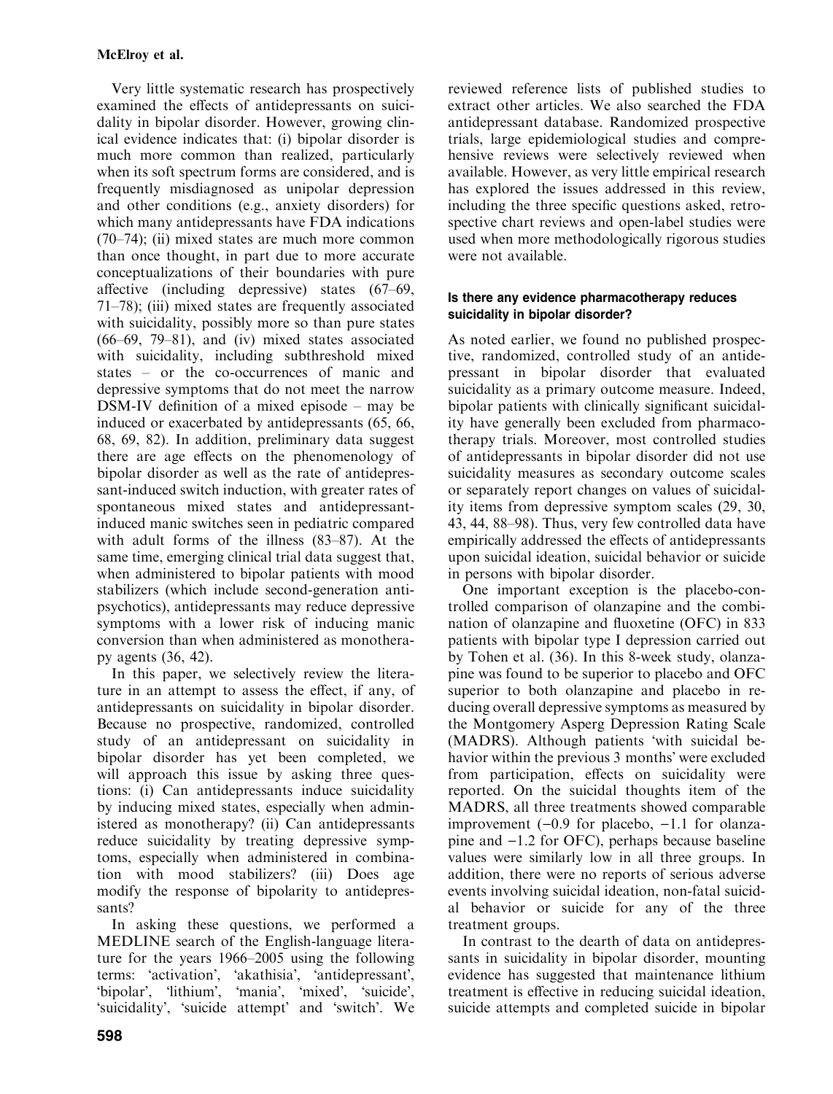Very little systematic research has prospectively examined the effects of antidepressants on suicidality in bipolar disorder. However, growing clinical evidence indicates that: (i) bipolar disorder is much more common than realized, particularly when its soft spectrum forms are considered, and is frequently misdiagnosed as unipolar depression and other conditions (e.g., anxiety disorders) for which many antidepressants have FDA indications (70–74); (ii) mixed states are much more common than once thought, in part due to more accurate conceptualizations of their boundaries with pure affective (including depressive) states (67–69, 71–78); (iii) mixed states are frequently associated with suicidality, possibly more so than pure states (66–69, 79–81), and (iv) mixed states associated with suicidality, including subthreshold mixed states – or the co-occurrences of manic and depressive symptoms that do not meet the narrow DSM-IV definition of a mixed episode – may be induced or exacerbated by antidepressants (65, 66, 68, 69, 82). In addition, preliminary data suggest there are age effects on the phenomenology of bipolar disorder as well as the rate of antidepressant-induced switch induction, with greater rates of spontaneous mixed states and antidepressantinduced manic switches seen in pediatric compared with adult forms of the illness (83–87). At the same time, emerging clinical trial data suggest that, when administered to bipolar patients with mood stabilizers (which include second-generation antipsychotics), antidepressants may reduce depressive symptoms with a lower risk of inducing manic conversion than when administered as monotherapy agents (36, 42).

In this paper, we selectively review the literature in an attempt to assess the effect, if any, of antidepressants on suicidality in bipolar disorder. Because no prospective, randomized, controlled study of an antidepressant on suicidality in bipolar disorder has yet been completed, we will approach this issue by asking three questions: (i) Can antidepressants induce suicidality by inducing mixed states, especially when administered as monotherapy? (ii) Can antidepressants reduce suicidality by treating depressive symptoms, especially when administered in combination with mood stabilizers? (iii) Does age modify the response of bipolarity to antidepressants?

In asking these questions, we performed a MEDLINE search of the English-language literature for the years 1966–2005 using the following terms: 'activation', 'akathisia', 'antidepressant', 'bipolar', 'lithium', 'mania', 'mixed', 'suicide', 'suicidality', 'suicide attempt' and 'switch'. We

reviewed reference lists of published studies to extract other articles. We also searched the FDA antidepressant database. Randomized prospective trials, large epidemiological studies and comprehensive reviews were selectively reviewed when available. However, as very little empirical research has explored the issues addressed in this review, including the three specific questions asked, retrospective chart reviews and open-label studies were used when more methodologically rigorous studies were not available.

## Is there any evidence pharmacotherapy reduces suicidality in bipolar disorder?

As noted earlier, we found no published prospective, randomized, controlled study of an antidepressant in bipolar disorder that evaluated suicidality as a primary outcome measure. Indeed, bipolar patients with clinically significant suicidality have generally been excluded from pharmacotherapy trials. Moreover, most controlled studies of antidepressants in bipolar disorder did not use suicidality measures as secondary outcome scales or separately report changes on values of suicidality items from depressive symptom scales (29, 30, 43, 44, 88–98). Thus, very few controlled data have empirically addressed the effects of antidepressants upon suicidal ideation, suicidal behavior or suicide in persons with bipolar disorder.

One important exception is the placebo-controlled comparison of olanzapine and the combination of olanzapine and fluoxetine (OFC) in 833 patients with bipolar type I depression carried out by Tohen et al. (36). In this 8-week study, olanzapine was found to be superior to placebo and OFC superior to both olanzapine and placebo in reducing overall depressive symptoms as measured by the Montgomery Asperg Depression Rating Scale (MADRS). Although patients 'with suicidal behavior within the previous 3 months' were excluded from participation, effects on suicidality were reported. On the suicidal thoughts item of the MADRS, all three treatments showed comparable improvement  $(-0.9$  for placebo,  $-1.1$  for olanzapine and  $-1.2$  for OFC), perhaps because baseline values were similarly low in all three groups. In addition, there were no reports of serious adverse events involving suicidal ideation, non-fatal suicidal behavior or suicide for any of the three treatment groups.

In contrast to the dearth of data on antidepressants in suicidality in bipolar disorder, mounting evidence has suggested that maintenance lithium treatment is effective in reducing suicidal ideation, suicide attempts and completed suicide in bipolar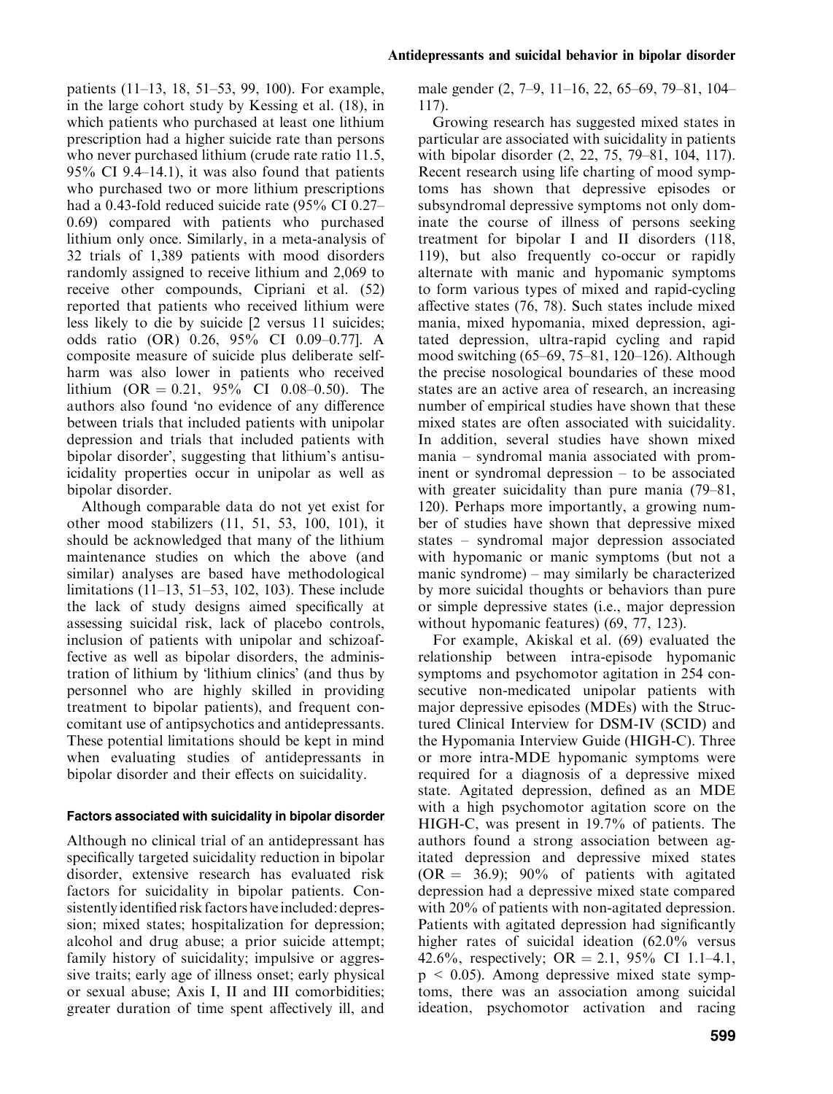patients (11–13, 18, 51–53, 99, 100). For example, in the large cohort study by Kessing et al. (18), in which patients who purchased at least one lithium prescription had a higher suicide rate than persons who never purchased lithium (crude rate ratio 11.5, 95% CI 9.4–14.1), it was also found that patients who purchased two or more lithium prescriptions had a 0.43-fold reduced suicide rate (95% CI 0.27– 0.69) compared with patients who purchased lithium only once. Similarly, in a meta-analysis of 32 trials of 1,389 patients with mood disorders randomly assigned to receive lithium and 2,069 to receive other compounds, Cipriani et al. (52) reported that patients who received lithium were less likely to die by suicide [2 versus 11 suicides; odds ratio (OR) 0.26, 95% CI 0.09–0.77]. A composite measure of suicide plus deliberate selfharm was also lower in patients who received lithium  $(OR = 0.21, 95\% \text{ CI} 0.08-0.50)$ . The authors also found 'no evidence of any difference between trials that included patients with unipolar depression and trials that included patients with bipolar disorder, suggesting that lithium's antisuicidality properties occur in unipolar as well as bipolar disorder.

Although comparable data do not yet exist for other mood stabilizers (11, 51, 53, 100, 101), it should be acknowledged that many of the lithium maintenance studies on which the above (and similar) analyses are based have methodological limitations (11–13, 51–53, 102, 103). These include the lack of study designs aimed specifically at assessing suicidal risk, lack of placebo controls, inclusion of patients with unipolar and schizoaffective as well as bipolar disorders, the administration of lithium by 'lithium clinics' (and thus by personnel who are highly skilled in providing treatment to bipolar patients), and frequent concomitant use of antipsychotics and antidepressants. These potential limitations should be kept in mind when evaluating studies of antidepressants in bipolar disorder and their effects on suicidality.

#### Factors associated with suicidality in bipolar disorder

Although no clinical trial of an antidepressant has specifically targeted suicidality reduction in bipolar disorder, extensive research has evaluated risk factors for suicidality in bipolar patients. Consistentlyidentified risk factors have included: depression; mixed states; hospitalization for depression; alcohol and drug abuse; a prior suicide attempt; family history of suicidality; impulsive or aggressive traits; early age of illness onset; early physical or sexual abuse; Axis I, II and III comorbidities; greater duration of time spent affectively ill, and male gender (2, 7–9, 11–16, 22, 65–69, 79–81, 104– 117).

Growing research has suggested mixed states in particular are associated with suicidality in patients with bipolar disorder (2, 22, 75, 79–81, 104, 117). Recent research using life charting of mood symptoms has shown that depressive episodes or subsyndromal depressive symptoms not only dominate the course of illness of persons seeking treatment for bipolar I and II disorders (118, 119), but also frequently co-occur or rapidly alternate with manic and hypomanic symptoms to form various types of mixed and rapid-cycling affective states (76, 78). Such states include mixed mania, mixed hypomania, mixed depression, agitated depression, ultra-rapid cycling and rapid mood switching (65–69, 75–81, 120–126). Although the precise nosological boundaries of these mood states are an active area of research, an increasing number of empirical studies have shown that these mixed states are often associated with suicidality. In addition, several studies have shown mixed mania – syndromal mania associated with prominent or syndromal depression – to be associated with greater suicidality than pure mania (79–81, 120). Perhaps more importantly, a growing number of studies have shown that depressive mixed states – syndromal major depression associated with hypomanic or manic symptoms (but not a manic syndrome) – may similarly be characterized by more suicidal thoughts or behaviors than pure or simple depressive states (i.e., major depression without hypomanic features) (69, 77, 123).

For example, Akiskal et al. (69) evaluated the relationship between intra-episode hypomanic symptoms and psychomotor agitation in 254 consecutive non-medicated unipolar patients with major depressive episodes (MDEs) with the Structured Clinical Interview for DSM-IV (SCID) and the Hypomania Interview Guide (HIGH-C). Three or more intra-MDE hypomanic symptoms were required for a diagnosis of a depressive mixed state. Agitated depression, defined as an MDE with a high psychomotor agitation score on the HIGH-C, was present in 19.7% of patients. The authors found a strong association between agitated depression and depressive mixed states  $(OR = 36.9)$ ; 90% of patients with agitated depression had a depressive mixed state compared with 20% of patients with non-agitated depression. Patients with agitated depression had significantly higher rates of suicidal ideation (62.0% versus 42.6%, respectively; OR = 2.1, 95% CI 1.1–4.1,  $p \leq 0.05$ ). Among depressive mixed state symptoms, there was an association among suicidal ideation, psychomotor activation and racing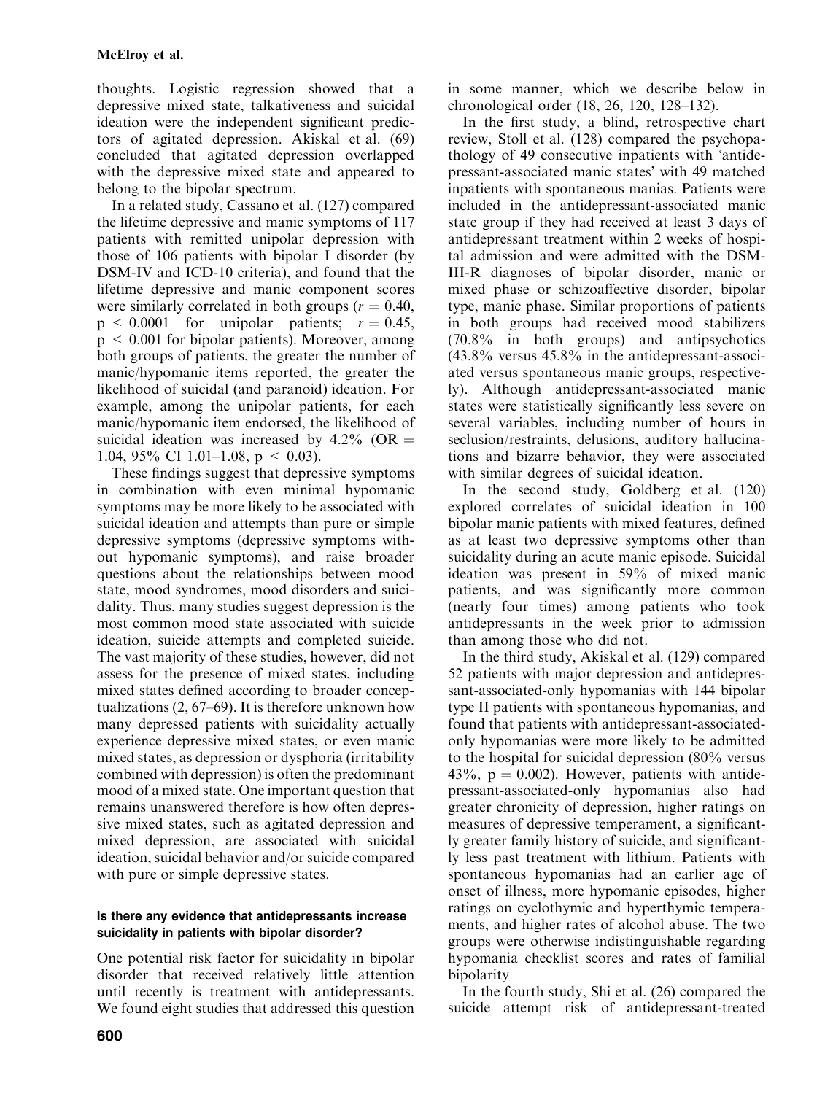thoughts. Logistic regression showed that a depressive mixed state, talkativeness and suicidal ideation were the independent significant predictors of agitated depression. Akiskal et al. (69) concluded that agitated depression overlapped with the depressive mixed state and appeared to belong to the bipolar spectrum.

In a related study, Cassano et al. (127) compared the lifetime depressive and manic symptoms of 117 patients with remitted unipolar depression with those of 106 patients with bipolar I disorder (by DSM-IV and ICD-10 criteria), and found that the lifetime depressive and manic component scores were similarly correlated in both groups  $(r = 0.40,$  $p \le 0.0001$  for unipolar patients;  $r = 0.45$ , p < 0.001 for bipolar patients). Moreover, among both groups of patients, the greater the number of manic/hypomanic items reported, the greater the likelihood of suicidal (and paranoid) ideation. For example, among the unipolar patients, for each manic/hypomanic item endorsed, the likelihood of suicidal ideation was increased by  $4.2\%$  (OR  $=$ 1.04, 95% CI 1.01–1.08,  $p \le 0.03$ ).

These findings suggest that depressive symptoms in combination with even minimal hypomanic symptoms may be more likely to be associated with suicidal ideation and attempts than pure or simple depressive symptoms (depressive symptoms without hypomanic symptoms), and raise broader questions about the relationships between mood state, mood syndromes, mood disorders and suicidality. Thus, many studies suggest depression is the most common mood state associated with suicide ideation, suicide attempts and completed suicide. The vast majority of these studies, however, did not assess for the presence of mixed states, including mixed states defined according to broader conceptualizations (2, 67–69). It is therefore unknown how many depressed patients with suicidality actually experience depressive mixed states, or even manic mixed states, as depression or dysphoria (irritability combined with depression) is often the predominant mood of a mixed state. One important question that remains unanswered therefore is how often depressive mixed states, such as agitated depression and mixed depression, are associated with suicidal ideation, suicidal behavior and/or suicide compared with pure or simple depressive states.

## Is there any evidence that antidepressants increase suicidality in patients with bipolar disorder?

One potential risk factor for suicidality in bipolar disorder that received relatively little attention until recently is treatment with antidepressants. We found eight studies that addressed this question in some manner, which we describe below in chronological order (18, 26, 120, 128–132).

In the first study, a blind, retrospective chart review, Stoll et al. (128) compared the psychopathology of 49 consecutive inpatients with 'antidepressant-associated manic states' with 49 matched inpatients with spontaneous manias. Patients were included in the antidepressant-associated manic state group if they had received at least 3 days of antidepressant treatment within 2 weeks of hospital admission and were admitted with the DSM-III-R diagnoses of bipolar disorder, manic or mixed phase or schizoaffective disorder, bipolar type, manic phase. Similar proportions of patients in both groups had received mood stabilizers (70.8% in both groups) and antipsychotics (43.8% versus 45.8% in the antidepressant-associated versus spontaneous manic groups, respectively). Although antidepressant-associated manic states were statistically significantly less severe on several variables, including number of hours in seclusion/restraints, delusions, auditory hallucinations and bizarre behavior, they were associated with similar degrees of suicidal ideation.

In the second study, Goldberg et al. (120) explored correlates of suicidal ideation in 100 bipolar manic patients with mixed features, defined as at least two depressive symptoms other than suicidality during an acute manic episode. Suicidal ideation was present in 59% of mixed manic patients, and was significantly more common (nearly four times) among patients who took antidepressants in the week prior to admission than among those who did not.

In the third study, Akiskal et al. (129) compared 52 patients with major depression and antidepressant-associated-only hypomanias with 144 bipolar type II patients with spontaneous hypomanias, and found that patients with antidepressant-associatedonly hypomanias were more likely to be admitted to the hospital for suicidal depression (80% versus 43%,  $p = 0.002$ ). However, patients with antidepressant-associated-only hypomanias also had greater chronicity of depression, higher ratings on measures of depressive temperament, a significantly greater family history of suicide, and significantly less past treatment with lithium. Patients with spontaneous hypomanias had an earlier age of onset of illness, more hypomanic episodes, higher ratings on cyclothymic and hyperthymic temperaments, and higher rates of alcohol abuse. The two groups were otherwise indistinguishable regarding hypomania checklist scores and rates of familial bipolarity

In the fourth study, Shi et al. (26) compared the suicide attempt risk of antidepressant-treated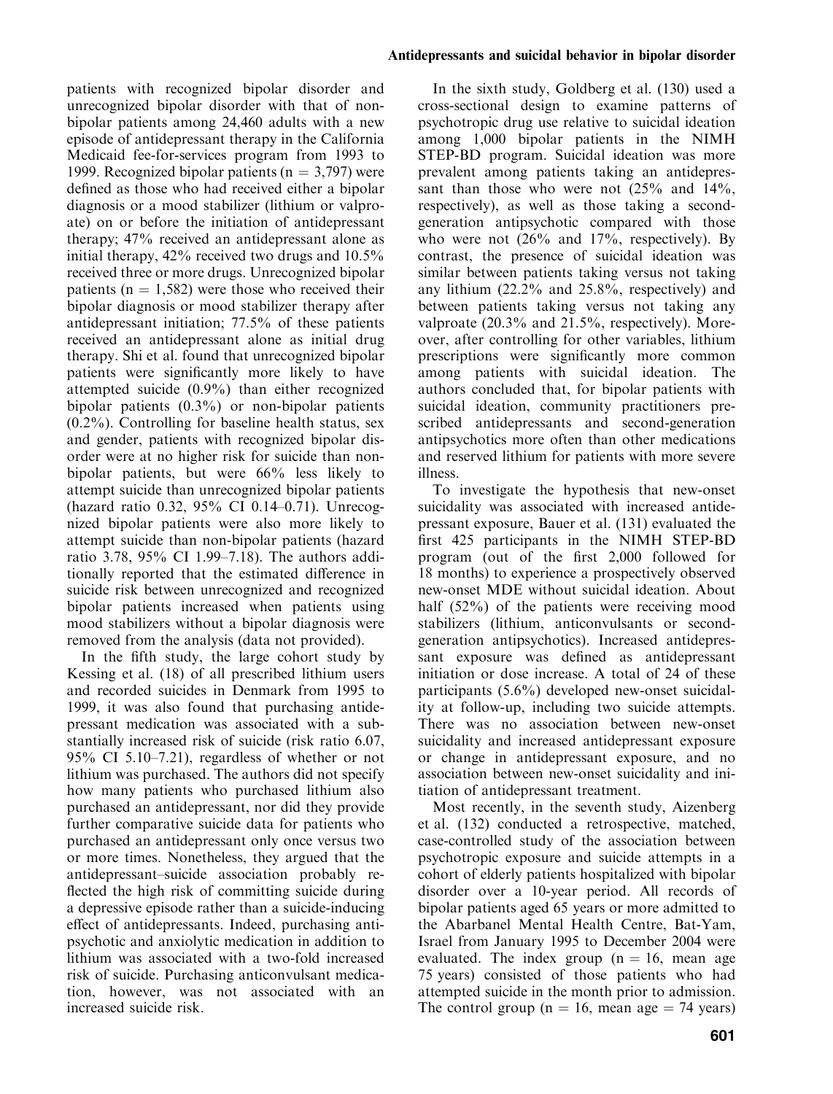patients with recognized bipolar disorder and unrecognized bipolar disorder with that of nonbipolar patients among 24,460 adults with a new episode of antidepressant therapy in the California Medicaid fee-for-services program from 1993 to 1999. Recognized bipolar patients ( $n = 3,797$ ) were defined as those who had received either a bipolar diagnosis or a mood stabilizer (lithium or valproate) on or before the initiation of antidepressant therapy; 47% received an antidepressant alone as initial therapy, 42% received two drugs and 10.5% received three or more drugs. Unrecognized bipolar patients ( $n = 1,582$ ) were those who received their bipolar diagnosis or mood stabilizer therapy after antidepressant initiation; 77.5% of these patients received an antidepressant alone as initial drug therapy. Shi et al. found that unrecognized bipolar patients were significantly more likely to have attempted suicide (0.9%) than either recognized bipolar patients (0.3%) or non-bipolar patients  $(0.2\%)$ . Controlling for baseline health status, sex and gender, patients with recognized bipolar disorder were at no higher risk for suicide than nonbipolar patients, but were 66% less likely to attempt suicide than unrecognized bipolar patients (hazard ratio 0.32, 95% CI 0.14–0.71). Unrecognized bipolar patients were also more likely to attempt suicide than non-bipolar patients (hazard ratio 3.78, 95% CI 1.99–7.18). The authors additionally reported that the estimated difference in suicide risk between unrecognized and recognized bipolar patients increased when patients using mood stabilizers without a bipolar diagnosis were removed from the analysis (data not provided).

In the fifth study, the large cohort study by Kessing et al. (18) of all prescribed lithium users and recorded suicides in Denmark from 1995 to 1999, it was also found that purchasing antidepressant medication was associated with a substantially increased risk of suicide (risk ratio 6.07, 95% CI 5.10–7.21), regardless of whether or not lithium was purchased. The authors did not specify how many patients who purchased lithium also purchased an antidepressant, nor did they provide further comparative suicide data for patients who purchased an antidepressant only once versus two or more times. Nonetheless, they argued that the antidepressant–suicide association probably reflected the high risk of committing suicide during a depressive episode rather than a suicide-inducing effect of antidepressants. Indeed, purchasing antipsychotic and anxiolytic medication in addition to lithium was associated with a two-fold increased risk of suicide. Purchasing anticonvulsant medication, however, was not associated with an increased suicide risk.

In the sixth study, Goldberg et al. (130) used a cross-sectional design to examine patterns of psychotropic drug use relative to suicidal ideation among 1,000 bipolar patients in the NIMH STEP-BD program. Suicidal ideation was more prevalent among patients taking an antidepressant than those who were not  $(25\%$  and  $14\%$ , respectively), as well as those taking a secondgeneration antipsychotic compared with those who were not  $(26\%$  and  $17\%$ , respectively). By contrast, the presence of suicidal ideation was similar between patients taking versus not taking any lithium (22.2% and 25.8%, respectively) and between patients taking versus not taking any valproate (20.3% and 21.5%, respectively). Moreover, after controlling for other variables, lithium prescriptions were significantly more common among patients with suicidal ideation. The authors concluded that, for bipolar patients with suicidal ideation, community practitioners prescribed antidepressants and second-generation antipsychotics more often than other medications and reserved lithium for patients with more severe illness.

To investigate the hypothesis that new-onset suicidality was associated with increased antidepressant exposure, Bauer et al. (131) evaluated the first 425 participants in the NIMH STEP-BD program (out of the first 2,000 followed for 18 months) to experience a prospectively observed new-onset MDE without suicidal ideation. About half (52%) of the patients were receiving mood stabilizers (lithium, anticonvulsants or secondgeneration antipsychotics). Increased antidepressant exposure was defined as antidepressant initiation or dose increase. A total of 24 of these participants (5.6%) developed new-onset suicidality at follow-up, including two suicide attempts. There was no association between new-onset suicidality and increased antidepressant exposure or change in antidepressant exposure, and no association between new-onset suicidality and initiation of antidepressant treatment.

Most recently, in the seventh study, Aizenberg et al. (132) conducted a retrospective, matched, case-controlled study of the association between psychotropic exposure and suicide attempts in a cohort of elderly patients hospitalized with bipolar disorder over a 10-year period. All records of bipolar patients aged 65 years or more admitted to the Abarbanel Mental Health Centre, Bat-Yam, Israel from January 1995 to December 2004 were evaluated. The index group  $(n = 16, \text{ mean age})$ 75 years) consisted of those patients who had attempted suicide in the month prior to admission. The control group ( $n = 16$ , mean age  $= 74$  years)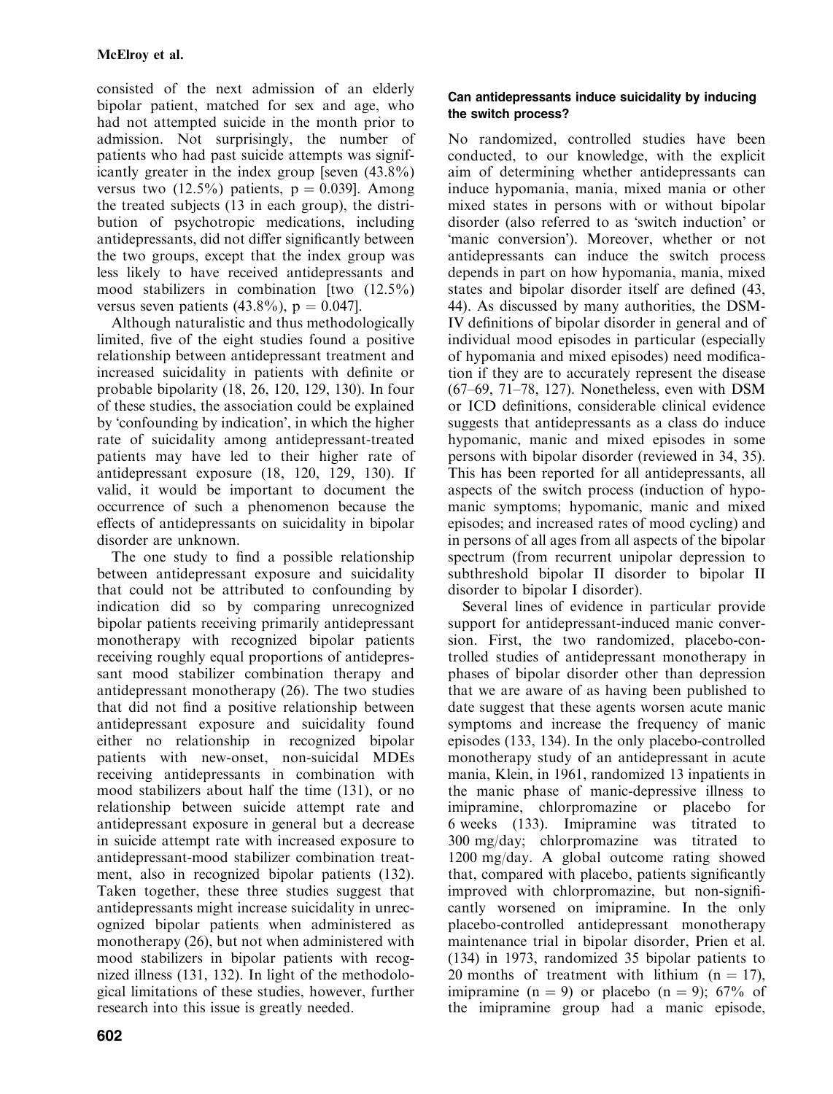consisted of the next admission of an elderly bipolar patient, matched for sex and age, who had not attempted suicide in the month prior to admission. Not surprisingly, the number of patients who had past suicide attempts was significantly greater in the index group [seven (43.8%) versus two  $(12.5\%)$  patients,  $p = 0.039$ . Among the treated subjects (13 in each group), the distribution of psychotropic medications, including antidepressants, did not differ significantly between the two groups, except that the index group was less likely to have received antidepressants and mood stabilizers in combination [two (12.5%) versus seven patients  $(43.8\%)$ ,  $p = 0.047$ .

Although naturalistic and thus methodologically limited, five of the eight studies found a positive relationship between antidepressant treatment and increased suicidality in patients with definite or probable bipolarity (18, 26, 120, 129, 130). In four of these studies, the association could be explained by 'confounding by indication', in which the higher rate of suicidality among antidepressant-treated patients may have led to their higher rate of antidepressant exposure (18, 120, 129, 130). If valid, it would be important to document the occurrence of such a phenomenon because the effects of antidepressants on suicidality in bipolar disorder are unknown.

The one study to find a possible relationship between antidepressant exposure and suicidality that could not be attributed to confounding by indication did so by comparing unrecognized bipolar patients receiving primarily antidepressant monotherapy with recognized bipolar patients receiving roughly equal proportions of antidepressant mood stabilizer combination therapy and antidepressant monotherapy (26). The two studies that did not find a positive relationship between antidepressant exposure and suicidality found either no relationship in recognized bipolar patients with new-onset, non-suicidal MDEs receiving antidepressants in combination with mood stabilizers about half the time (131), or no relationship between suicide attempt rate and antidepressant exposure in general but a decrease in suicide attempt rate with increased exposure to antidepressant-mood stabilizer combination treatment, also in recognized bipolar patients (132). Taken together, these three studies suggest that antidepressants might increase suicidality in unrecognized bipolar patients when administered as monotherapy (26), but not when administered with mood stabilizers in bipolar patients with recognized illness (131, 132). In light of the methodological limitations of these studies, however, further research into this issue is greatly needed.

# Can antidepressants induce suicidality by inducing the switch process?

No randomized, controlled studies have been conducted, to our knowledge, with the explicit aim of determining whether antidepressants can induce hypomania, mania, mixed mania or other mixed states in persons with or without bipolar disorder (also referred to as 'switch induction' or -manic conversion). Moreover, whether or not antidepressants can induce the switch process depends in part on how hypomania, mania, mixed states and bipolar disorder itself are defined (43, 44). As discussed by many authorities, the DSM-IV definitions of bipolar disorder in general and of individual mood episodes in particular (especially of hypomania and mixed episodes) need modification if they are to accurately represent the disease (67–69, 71–78, 127). Nonetheless, even with DSM or ICD definitions, considerable clinical evidence suggests that antidepressants as a class do induce hypomanic, manic and mixed episodes in some persons with bipolar disorder (reviewed in 34, 35). This has been reported for all antidepressants, all aspects of the switch process (induction of hypomanic symptoms; hypomanic, manic and mixed episodes; and increased rates of mood cycling) and in persons of all ages from all aspects of the bipolar spectrum (from recurrent unipolar depression to subthreshold bipolar II disorder to bipolar II disorder to bipolar I disorder).

Several lines of evidence in particular provide support for antidepressant-induced manic conversion. First, the two randomized, placebo-controlled studies of antidepressant monotherapy in phases of bipolar disorder other than depression that we are aware of as having been published to date suggest that these agents worsen acute manic symptoms and increase the frequency of manic episodes (133, 134). In the only placebo-controlled monotherapy study of an antidepressant in acute mania, Klein, in 1961, randomized 13 inpatients in the manic phase of manic-depressive illness to imipramine, chlorpromazine or placebo for 6 weeks (133). Imipramine was titrated to 300 mg/day; chlorpromazine was titrated to 1200 mg/day. A global outcome rating showed that, compared with placebo, patients significantly improved with chlorpromazine, but non-significantly worsened on imipramine. In the only placebo-controlled antidepressant monotherapy maintenance trial in bipolar disorder, Prien et al. (134) in 1973, randomized 35 bipolar patients to 20 months of treatment with lithium  $(n = 17)$ , imipramine (n = 9) or placebo (n = 9); 67% of the imipramine group had a manic episode,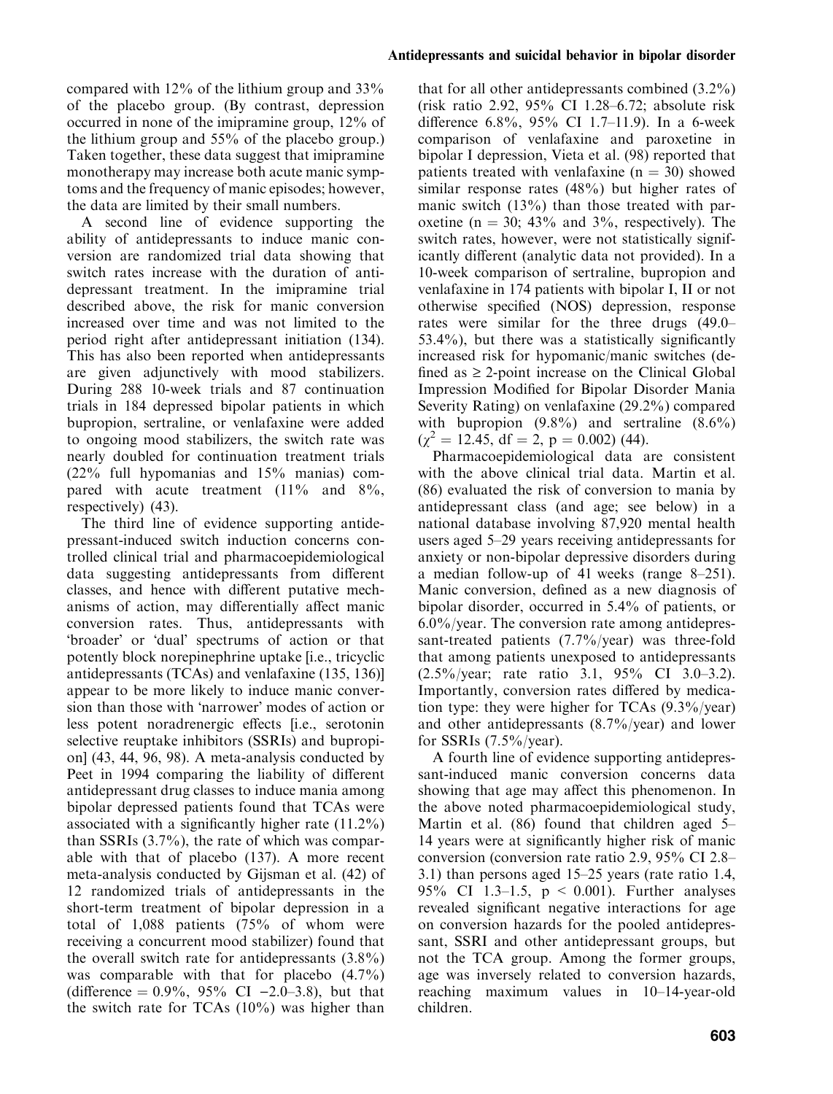the data are limited by their small numbers. A second line of evidence supporting the ability of antidepressants to induce manic conversion are randomized trial data showing that switch rates increase with the duration of antidepressant treatment. In the imipramine trial described above, the risk for manic conversion increased over time and was not limited to the period right after antidepressant initiation (134). This has also been reported when antidepressants are given adjunctively with mood stabilizers. During 288 10-week trials and 87 continuation trials in 184 depressed bipolar patients in which bupropion, sertraline, or venlafaxine were added to ongoing mood stabilizers, the switch rate was nearly doubled for continuation treatment trials (22% full hypomanias and 15% manias) compared with acute treatment (11% and 8%, respectively) (43).

The third line of evidence supporting antidepressant-induced switch induction concerns controlled clinical trial and pharmacoepidemiological data suggesting antidepressants from different classes, and hence with different putative mechanisms of action, may differentially affect manic conversion rates. Thus, antidepressants with 'broader' or 'dual' spectrums of action or that potently block norepinephrine uptake [i.e., tricyclic antidepressants (TCAs) and venlafaxine (135, 136)] appear to be more likely to induce manic conversion than those with 'narrower' modes of action or less potent noradrenergic effects [i.e., serotonin selective reuptake inhibitors (SSRIs) and bupropion] (43, 44, 96, 98). A meta-analysis conducted by Peet in 1994 comparing the liability of different antidepressant drug classes to induce mania among bipolar depressed patients found that TCAs were associated with a significantly higher rate (11.2%) than SSRIs (3.7%), the rate of which was comparable with that of placebo (137). A more recent meta-analysis conducted by Gijsman et al. (42) of 12 randomized trials of antidepressants in the short-term treatment of bipolar depression in a total of 1,088 patients (75% of whom were receiving a concurrent mood stabilizer) found that the overall switch rate for antidepressants (3.8%) was comparable with that for placebo  $(4.7\%)$ (difference  $= 0.9\%$ , 95% CI -2.0–3.8), but that the switch rate for TCAs (10%) was higher than that for all other antidepressants combined  $(3.2\%)$ (risk ratio 2.92, 95% CI 1.28–6.72; absolute risk difference 6.8%, 95% CI 1.7–11.9). In a 6-week comparison of venlafaxine and paroxetine in bipolar I depression, Vieta et al. (98) reported that patients treated with venlafaxine  $(n = 30)$  showed similar response rates (48%) but higher rates of manic switch  $(13\%)$  than those treated with paroxetine ( $n = 30$ ; 43% and 3%, respectively). The switch rates, however, were not statistically significantly different (analytic data not provided). In a 10-week comparison of sertraline, bupropion and venlafaxine in 174 patients with bipolar I, II or not otherwise specified (NOS) depression, response rates were similar for the three drugs (49.0– 53.4%), but there was a statistically significantly increased risk for hypomanic/manic switches (defined as  $\geq$  2-point increase on the Clinical Global Impression Modified for Bipolar Disorder Mania Severity Rating) on venlafaxine (29.2%) compared with bupropion  $(9.8\%)$  and sertraline  $(8.6\%)$  $(\gamma^2 = 12.45, df = 2, p = 0.002)$  (44).

Pharmacoepidemiological data are consistent with the above clinical trial data. Martin et al. (86) evaluated the risk of conversion to mania by antidepressant class (and age; see below) in a national database involving 87,920 mental health users aged 5–29 years receiving antidepressants for anxiety or non-bipolar depressive disorders during a median follow-up of 41 weeks (range 8–251). Manic conversion, defined as a new diagnosis of bipolar disorder, occurred in 5.4% of patients, or 6.0%/year. The conversion rate among antidepressant-treated patients (7.7%/year) was three-fold that among patients unexposed to antidepressants (2.5%/year; rate ratio 3.1, 95% CI 3.0–3.2). Importantly, conversion rates differed by medication type: they were higher for TCAs (9.3%/year) and other antidepressants (8.7%/year) and lower for SSRIs  $(7.5\%/year)$ .

A fourth line of evidence supporting antidepressant-induced manic conversion concerns data showing that age may affect this phenomenon. In the above noted pharmacoepidemiological study, Martin et al. (86) found that children aged 5– 14 years were at significantly higher risk of manic conversion (conversion rate ratio 2.9, 95% CI 2.8– 3.1) than persons aged 15–25 years (rate ratio 1.4, 95% CI 1.3–1.5,  $p \le 0.001$ ). Further analyses revealed significant negative interactions for age on conversion hazards for the pooled antidepressant, SSRI and other antidepressant groups, but not the TCA group. Among the former groups, age was inversely related to conversion hazards, reaching maximum values in 10–14-year-old children.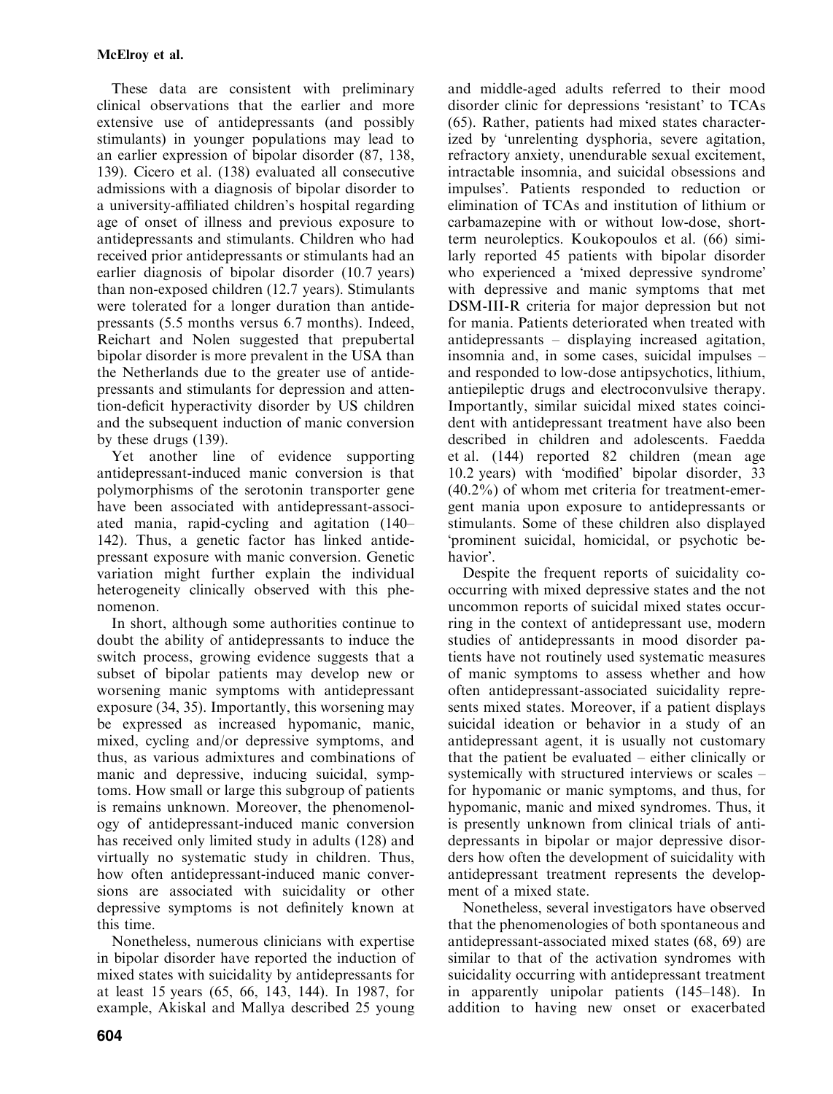These data are consistent with preliminary clinical observations that the earlier and more extensive use of antidepressants (and possibly stimulants) in younger populations may lead to an earlier expression of bipolar disorder (87, 138, 139). Cicero et al. (138) evaluated all consecutive admissions with a diagnosis of bipolar disorder to a university-affiliated children's hospital regarding age of onset of illness and previous exposure to antidepressants and stimulants. Children who had received prior antidepressants or stimulants had an earlier diagnosis of bipolar disorder (10.7 years) than non-exposed children (12.7 years). Stimulants were tolerated for a longer duration than antidepressants (5.5 months versus 6.7 months). Indeed, Reichart and Nolen suggested that prepubertal bipolar disorder is more prevalent in the USA than the Netherlands due to the greater use of antidepressants and stimulants for depression and attention-deficit hyperactivity disorder by US children and the subsequent induction of manic conversion by these drugs (139).

Yet another line of evidence supporting antidepressant-induced manic conversion is that polymorphisms of the serotonin transporter gene have been associated with antidepressant-associated mania, rapid-cycling and agitation (140– 142). Thus, a genetic factor has linked antidepressant exposure with manic conversion. Genetic variation might further explain the individual heterogeneity clinically observed with this phenomenon.

In short, although some authorities continue to doubt the ability of antidepressants to induce the switch process, growing evidence suggests that a subset of bipolar patients may develop new or worsening manic symptoms with antidepressant exposure (34, 35). Importantly, this worsening may be expressed as increased hypomanic, manic, mixed, cycling and/or depressive symptoms, and thus, as various admixtures and combinations of manic and depressive, inducing suicidal, symptoms. How small or large this subgroup of patients is remains unknown. Moreover, the phenomenology of antidepressant-induced manic conversion has received only limited study in adults (128) and virtually no systematic study in children. Thus, how often antidepressant-induced manic conversions are associated with suicidality or other depressive symptoms is not definitely known at this time.

Nonetheless, numerous clinicians with expertise in bipolar disorder have reported the induction of mixed states with suicidality by antidepressants for at least 15 years (65, 66, 143, 144). In 1987, for example, Akiskal and Mallya described 25 young and middle-aged adults referred to their mood disorder clinic for depressions 'resistant' to TCAs (65). Rather, patients had mixed states characterized by 'unrelenting dysphoria, severe agitation, refractory anxiety, unendurable sexual excitement, intractable insomnia, and suicidal obsessions and impulses. Patients responded to reduction or elimination of TCAs and institution of lithium or carbamazepine with or without low-dose, shortterm neuroleptics. Koukopoulos et al. (66) similarly reported 45 patients with bipolar disorder who experienced a 'mixed depressive syndrome' with depressive and manic symptoms that met DSM-III-R criteria for major depression but not for mania. Patients deteriorated when treated with antidepressants – displaying increased agitation, insomnia and, in some cases, suicidal impulses – and responded to low-dose antipsychotics, lithium, antiepileptic drugs and electroconvulsive therapy. Importantly, similar suicidal mixed states coincident with antidepressant treatment have also been described in children and adolescents. Faedda et al. (144) reported 82 children (mean age 10.2 years) with 'modified' bipolar disorder, 33 (40.2%) of whom met criteria for treatment-emergent mania upon exposure to antidepressants or stimulants. Some of these children also displayed -prominent suicidal, homicidal, or psychotic behavior'.

Despite the frequent reports of suicidality cooccurring with mixed depressive states and the not uncommon reports of suicidal mixed states occurring in the context of antidepressant use, modern studies of antidepressants in mood disorder patients have not routinely used systematic measures of manic symptoms to assess whether and how often antidepressant-associated suicidality represents mixed states. Moreover, if a patient displays suicidal ideation or behavior in a study of an antidepressant agent, it is usually not customary that the patient be evaluated – either clinically or systemically with structured interviews or scales – for hypomanic or manic symptoms, and thus, for hypomanic, manic and mixed syndromes. Thus, it is presently unknown from clinical trials of antidepressants in bipolar or major depressive disorders how often the development of suicidality with antidepressant treatment represents the development of a mixed state.

Nonetheless, several investigators have observed that the phenomenologies of both spontaneous and antidepressant-associated mixed states (68, 69) are similar to that of the activation syndromes with suicidality occurring with antidepressant treatment in apparently unipolar patients (145–148). In addition to having new onset or exacerbated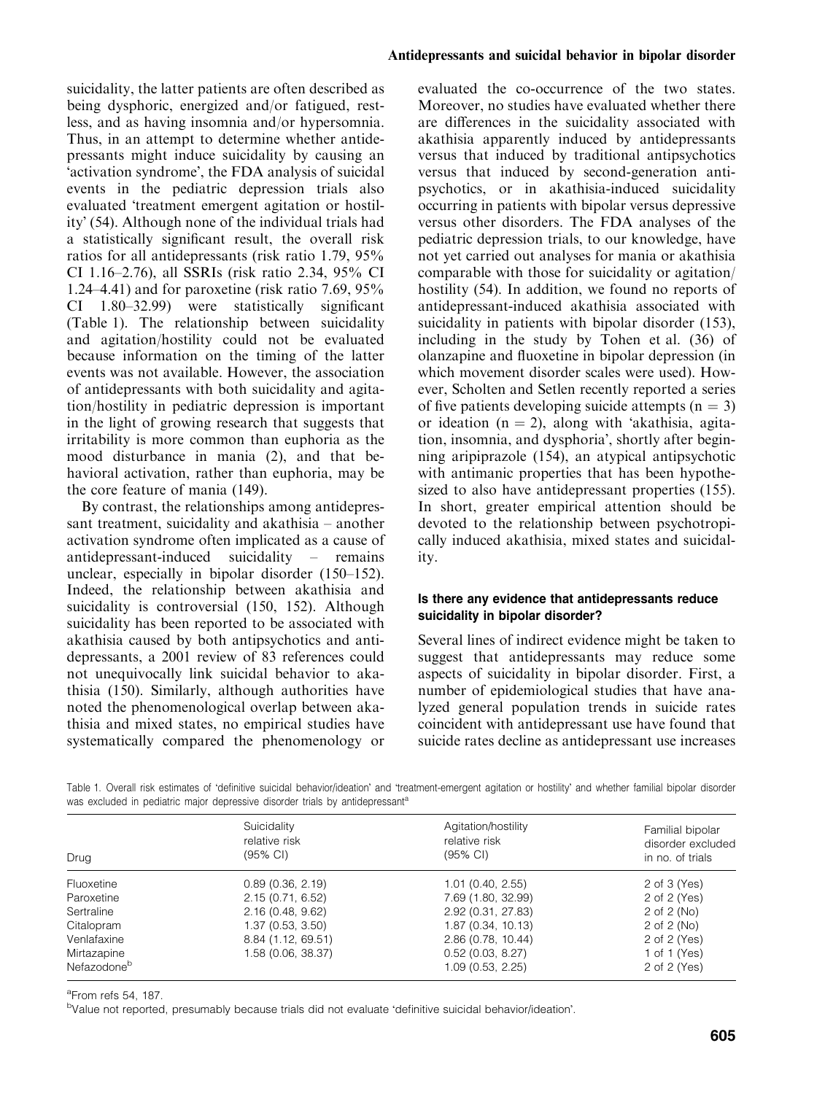suicidality, the latter patients are often described as being dysphoric, energized and/or fatigued, restless, and as having insomnia and/or hypersomnia. Thus, in an attempt to determine whether antidepressants might induce suicidality by causing an -activation syndrome, the FDA analysis of suicidal events in the pediatric depression trials also evaluated 'treatment emergent agitation or hostility (54). Although none of the individual trials had a statistically significant result, the overall risk ratios for all antidepressants (risk ratio 1.79, 95% CI 1.16–2.76), all SSRIs (risk ratio 2.34, 95% CI 1.24–4.41) and for paroxetine (risk ratio 7.69, 95% CI 1.80–32.99) were statistically significant (Table 1). The relationship between suicidality and agitation/hostility could not be evaluated because information on the timing of the latter events was not available. However, the association of antidepressants with both suicidality and agitation/hostility in pediatric depression is important in the light of growing research that suggests that irritability is more common than euphoria as the mood disturbance in mania (2), and that behavioral activation, rather than euphoria, may be the core feature of mania (149).

By contrast, the relationships among antidepressant treatment, suicidality and akathisia – another activation syndrome often implicated as a cause of antidepressant-induced suicidality – remains unclear, especially in bipolar disorder (150–152). Indeed, the relationship between akathisia and suicidality is controversial (150, 152). Although suicidality has been reported to be associated with akathisia caused by both antipsychotics and antidepressants, a 2001 review of 83 references could not unequivocally link suicidal behavior to akathisia (150). Similarly, although authorities have noted the phenomenological overlap between akathisia and mixed states, no empirical studies have systematically compared the phenomenology or

evaluated the co-occurrence of the two states. Moreover, no studies have evaluated whether there are differences in the suicidality associated with akathisia apparently induced by antidepressants versus that induced by traditional antipsychotics versus that induced by second-generation antipsychotics, or in akathisia-induced suicidality occurring in patients with bipolar versus depressive versus other disorders. The FDA analyses of the pediatric depression trials, to our knowledge, have not yet carried out analyses for mania or akathisia comparable with those for suicidality or agitation/ hostility (54). In addition, we found no reports of antidepressant-induced akathisia associated with suicidality in patients with bipolar disorder (153), including in the study by Tohen et al. (36) of olanzapine and fluoxetine in bipolar depression (in which movement disorder scales were used). However, Scholten and Setlen recently reported a series of five patients developing suicide attempts  $(n = 3)$ or ideation  $(n = 2)$ , along with 'akathisia, agitation, insomnia, and dysphoria', shortly after beginning aripiprazole (154), an atypical antipsychotic with antimanic properties that has been hypothesized to also have antidepressant properties (155). In short, greater empirical attention should be devoted to the relationship between psychotropically induced akathisia, mixed states and suicidality.

## Is there any evidence that antidepressants reduce suicidality in bipolar disorder?

Several lines of indirect evidence might be taken to suggest that antidepressants may reduce some aspects of suicidality in bipolar disorder. First, a number of epidemiological studies that have analyzed general population trends in suicide rates coincident with antidepressant use have found that suicide rates decline as antidepressant use increases

| Drug                    | Suicidality<br>relative risk<br>$(95% \text{ Cl})$ | Agitation/hostility<br>relative risk<br>$(95\% \text{ Cl})$ | Familial bipolar<br>disorder excluded<br>in no. of trials |
|-------------------------|----------------------------------------------------|-------------------------------------------------------------|-----------------------------------------------------------|
| Fluoxetine              | 0.89(0.36, 2.19)                                   | 1.01(0.40, 2.55)                                            | 2 of 3 (Yes)                                              |
| Paroxetine              | 2.15(0.71, 6.52)                                   | 7.69 (1.80, 32.99)                                          | 2 of 2 (Yes)                                              |
| Sertraline              | 2.16(0.48, 9.62)                                   | 2.92 (0.31, 27.83)                                          | 2 of 2 (No)                                               |
| Citalopram              | 1.37(0.53, 3.50)                                   | 1.87 (0.34, 10.13)                                          | 2 of 2 (No)                                               |
| Venlafaxine             | 8.84 (1.12, 69.51)                                 | 2.86(0.78, 10.44)                                           | 2 of 2 (Yes)                                              |
| Mirtazapine             | 1.58 (0.06, 38.37)                                 | 0.52(0.03, 8.27)                                            | 1 of 1 (Yes)                                              |
| Nefazodone <sup>b</sup> |                                                    | 1.09 (0.53, 2.25)                                           | 2 of 2 (Yes)                                              |
|                         |                                                    |                                                             |                                                           |

Table 1. Overall risk estimates of definitive suicidal behavior/ideation' and 'treatment-emergent agitation or hostility' and whether familial bipolar disorder was excluded in pediatric major depressive disorder trials by antidepressant<sup>a</sup>

<sup>a</sup>From refs 54, 187.

<sup>b</sup>Value not reported, presumably because trials did not evaluate 'definitive suicidal behavior/ideation'.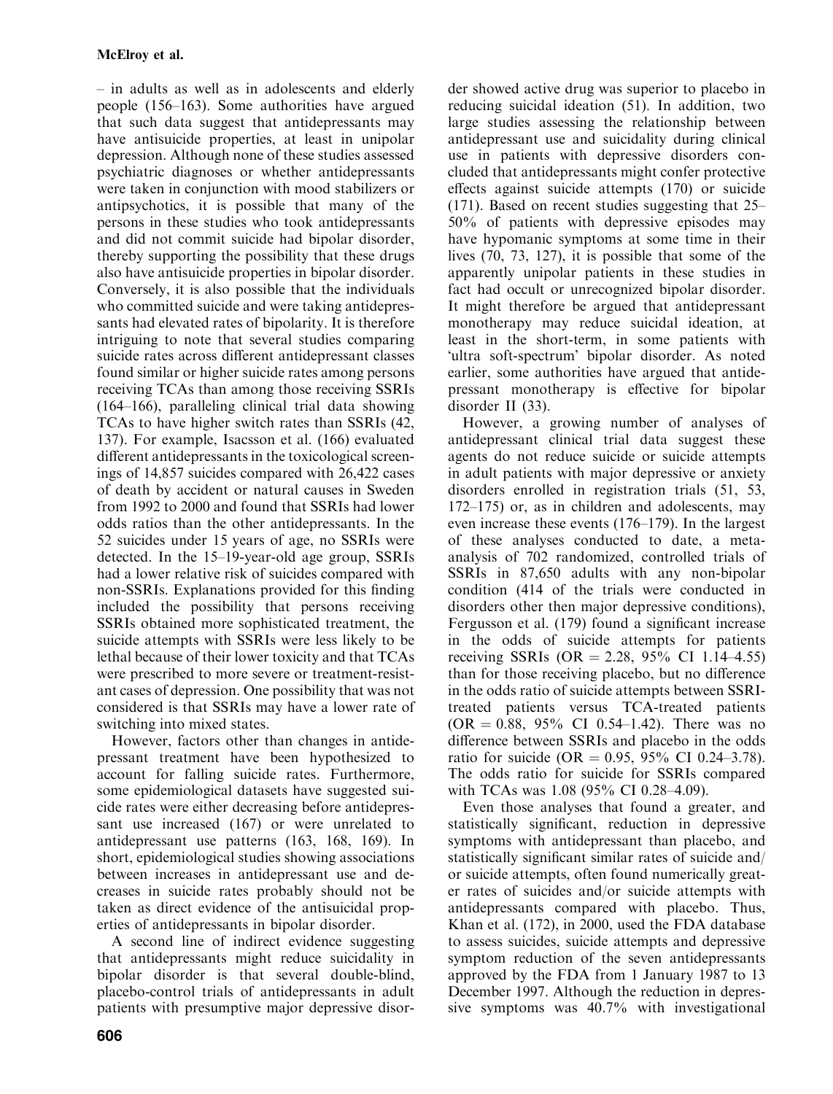– in adults as well as in adolescents and elderly people (156–163). Some authorities have argued that such data suggest that antidepressants may have antisuicide properties, at least in unipolar depression. Although none of these studies assessed psychiatric diagnoses or whether antidepressants were taken in conjunction with mood stabilizers or antipsychotics, it is possible that many of the persons in these studies who took antidepressants and did not commit suicide had bipolar disorder, thereby supporting the possibility that these drugs also have antisuicide properties in bipolar disorder. Conversely, it is also possible that the individuals who committed suicide and were taking antidepressants had elevated rates of bipolarity. It is therefore intriguing to note that several studies comparing suicide rates across different antidepressant classes found similar or higher suicide rates among persons receiving TCAs than among those receiving SSRIs (164–166), paralleling clinical trial data showing TCAs to have higher switch rates than SSRIs (42, 137). For example, Isacsson et al. (166) evaluated different antidepressants in the toxicological screenings of 14,857 suicides compared with 26,422 cases of death by accident or natural causes in Sweden from 1992 to 2000 and found that SSRIs had lower odds ratios than the other antidepressants. In the 52 suicides under 15 years of age, no SSRIs were detected. In the 15–19-year-old age group, SSRIs had a lower relative risk of suicides compared with non-SSRIs. Explanations provided for this finding included the possibility that persons receiving SSRIs obtained more sophisticated treatment, the suicide attempts with SSRIs were less likely to be lethal because of their lower toxicity and that TCAs were prescribed to more severe or treatment-resistant cases of depression. One possibility that was not considered is that SSRIs may have a lower rate of switching into mixed states.

However, factors other than changes in antidepressant treatment have been hypothesized to account for falling suicide rates. Furthermore, some epidemiological datasets have suggested suicide rates were either decreasing before antidepressant use increased (167) or were unrelated to antidepressant use patterns (163, 168, 169). In short, epidemiological studies showing associations between increases in antidepressant use and decreases in suicide rates probably should not be taken as direct evidence of the antisuicidal properties of antidepressants in bipolar disorder.

A second line of indirect evidence suggesting that antidepressants might reduce suicidality in bipolar disorder is that several double-blind, placebo-control trials of antidepressants in adult patients with presumptive major depressive disorder showed active drug was superior to placebo in reducing suicidal ideation (51). In addition, two large studies assessing the relationship between antidepressant use and suicidality during clinical use in patients with depressive disorders concluded that antidepressants might confer protective effects against suicide attempts (170) or suicide (171). Based on recent studies suggesting that 25– 50% of patients with depressive episodes may have hypomanic symptoms at some time in their lives (70, 73, 127), it is possible that some of the apparently unipolar patients in these studies in fact had occult or unrecognized bipolar disorder. It might therefore be argued that antidepressant monotherapy may reduce suicidal ideation, at least in the short-term, in some patients with -ultra soft-spectrum bipolar disorder. As noted earlier, some authorities have argued that antidepressant monotherapy is effective for bipolar disorder II (33).

However, a growing number of analyses of antidepressant clinical trial data suggest these agents do not reduce suicide or suicide attempts in adult patients with major depressive or anxiety disorders enrolled in registration trials (51, 53, 172–175) or, as in children and adolescents, may even increase these events (176–179). In the largest of these analyses conducted to date, a metaanalysis of 702 randomized, controlled trials of SSRIs in 87,650 adults with any non-bipolar condition (414 of the trials were conducted in disorders other then major depressive conditions), Fergusson et al. (179) found a significant increase in the odds of suicide attempts for patients receiving SSRIs (OR  $= 2.28, 95\%$  CI 1.14–4.55) than for those receiving placebo, but no difference in the odds ratio of suicide attempts between SSRItreated patients versus TCA-treated patients  $(OR = 0.88, 95\% \text{ CI } 0.54-1.42)$ . There was no difference between SSRIs and placebo in the odds ratio for suicide (OR =  $0.95$ , 95% CI 0.24–3.78). The odds ratio for suicide for SSRIs compared with TCAs was 1.08 (95% CI 0.28–4.09).

Even those analyses that found a greater, and statistically significant, reduction in depressive symptoms with antidepressant than placebo, and statistically significant similar rates of suicide and/ or suicide attempts, often found numerically greater rates of suicides and/or suicide attempts with antidepressants compared with placebo. Thus, Khan et al. (172), in 2000, used the FDA database to assess suicides, suicide attempts and depressive symptom reduction of the seven antidepressants approved by the FDA from 1 January 1987 to 13 December 1997. Although the reduction in depressive symptoms was 40.7% with investigational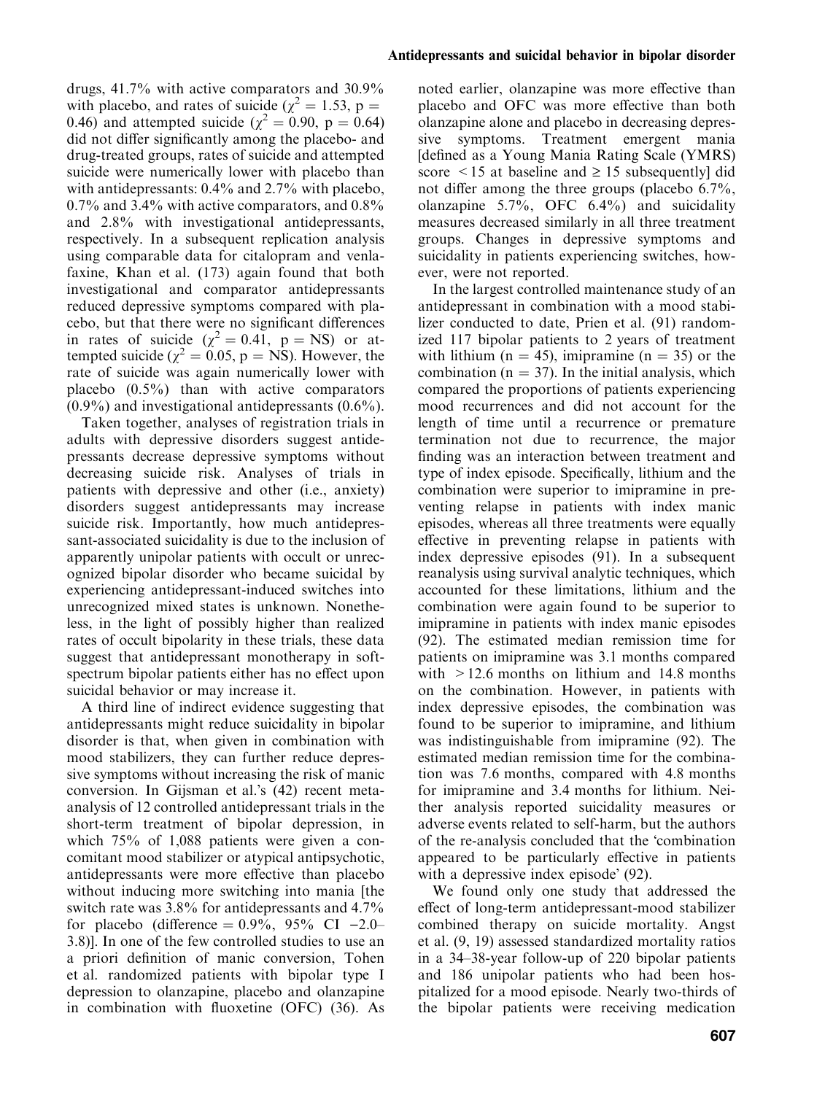drugs, 41.7% with active comparators and 30.9% with placebo, and rates of suicide ( $\chi^2 = 1.53$ , p = 0.46) and attempted suicide ( $\chi^2 = 0.90$ , p = 0.64) did not differ significantly among the placebo- and drug-treated groups, rates of suicide and attempted suicide were numerically lower with placebo than with antidepressants: 0.4% and 2.7% with placebo, 0.7% and 3.4% with active comparators, and 0.8% and 2.8% with investigational antidepressants, respectively. In a subsequent replication analysis using comparable data for citalopram and venlafaxine, Khan et al. (173) again found that both investigational and comparator antidepressants reduced depressive symptoms compared with placebo, but that there were no significant differences in rates of suicide ( $\chi^2 = 0.41$ , p = NS) or attempted suicide ( $\chi^2 = 0.05$ , p = NS). However, the rate of suicide was again numerically lower with placebo (0.5%) than with active comparators  $(0.9\%)$  and investigational antidepressants  $(0.6\%)$ .

Taken together, analyses of registration trials in adults with depressive disorders suggest antidepressants decrease depressive symptoms without decreasing suicide risk. Analyses of trials in patients with depressive and other (i.e., anxiety) disorders suggest antidepressants may increase suicide risk. Importantly, how much antidepressant-associated suicidality is due to the inclusion of apparently unipolar patients with occult or unrecognized bipolar disorder who became suicidal by experiencing antidepressant-induced switches into unrecognized mixed states is unknown. Nonetheless, in the light of possibly higher than realized rates of occult bipolarity in these trials, these data suggest that antidepressant monotherapy in softspectrum bipolar patients either has no effect upon suicidal behavior or may increase it.

A third line of indirect evidence suggesting that antidepressants might reduce suicidality in bipolar disorder is that, when given in combination with mood stabilizers, they can further reduce depressive symptoms without increasing the risk of manic conversion. In Gijsman et al.'s (42) recent metaanalysis of 12 controlled antidepressant trials in the short-term treatment of bipolar depression, in which 75% of 1,088 patients were given a concomitant mood stabilizer or atypical antipsychotic, antidepressants were more effective than placebo without inducing more switching into mania [the switch rate was 3.8% for antidepressants and 4.7% for placebo (difference  $= 0.9\%$ , 95% CI -2.0– 3.8)]. In one of the few controlled studies to use an a priori definition of manic conversion, Tohen et al. randomized patients with bipolar type I depression to olanzapine, placebo and olanzapine in combination with fluoxetine (OFC) (36). As noted earlier, olanzapine was more effective than placebo and OFC was more effective than both olanzapine alone and placebo in decreasing depressive symptoms. Treatment emergent mania [defined as a Young Mania Rating Scale (YMRS) score  $\leq 15$  at baseline and  $\geq 15$  subsequently] did not differ among the three groups (placebo 6.7%, olanzapine  $5.7\%$ , OFC  $6.4\%$  and suicidality measures decreased similarly in all three treatment groups. Changes in depressive symptoms and suicidality in patients experiencing switches, however, were not reported.

In the largest controlled maintenance study of an antidepressant in combination with a mood stabilizer conducted to date, Prien et al. (91) randomized 117 bipolar patients to 2 years of treatment with lithium ( $n = 45$ ), imipramine ( $n = 35$ ) or the combination ( $n = 37$ ). In the initial analysis, which compared the proportions of patients experiencing mood recurrences and did not account for the length of time until a recurrence or premature termination not due to recurrence, the major finding was an interaction between treatment and type of index episode. Specifically, lithium and the combination were superior to imipramine in preventing relapse in patients with index manic episodes, whereas all three treatments were equally effective in preventing relapse in patients with index depressive episodes (91). In a subsequent reanalysis using survival analytic techniques, which accounted for these limitations, lithium and the combination were again found to be superior to imipramine in patients with index manic episodes (92). The estimated median remission time for patients on imipramine was 3.1 months compared with  $>12.6$  months on lithium and 14.8 months on the combination. However, in patients with index depressive episodes, the combination was found to be superior to imipramine, and lithium was indistinguishable from imipramine (92). The estimated median remission time for the combination was 7.6 months, compared with 4.8 months for imipramine and 3.4 months for lithium. Neither analysis reported suicidality measures or adverse events related to self-harm, but the authors of the re-analysis concluded that the 'combination appeared to be particularly effective in patients with a depressive index episode' (92).

We found only one study that addressed the effect of long-term antidepressant-mood stabilizer combined therapy on suicide mortality. Angst et al. (9, 19) assessed standardized mortality ratios in a 34–38-year follow-up of 220 bipolar patients and 186 unipolar patients who had been hospitalized for a mood episode. Nearly two-thirds of the bipolar patients were receiving medication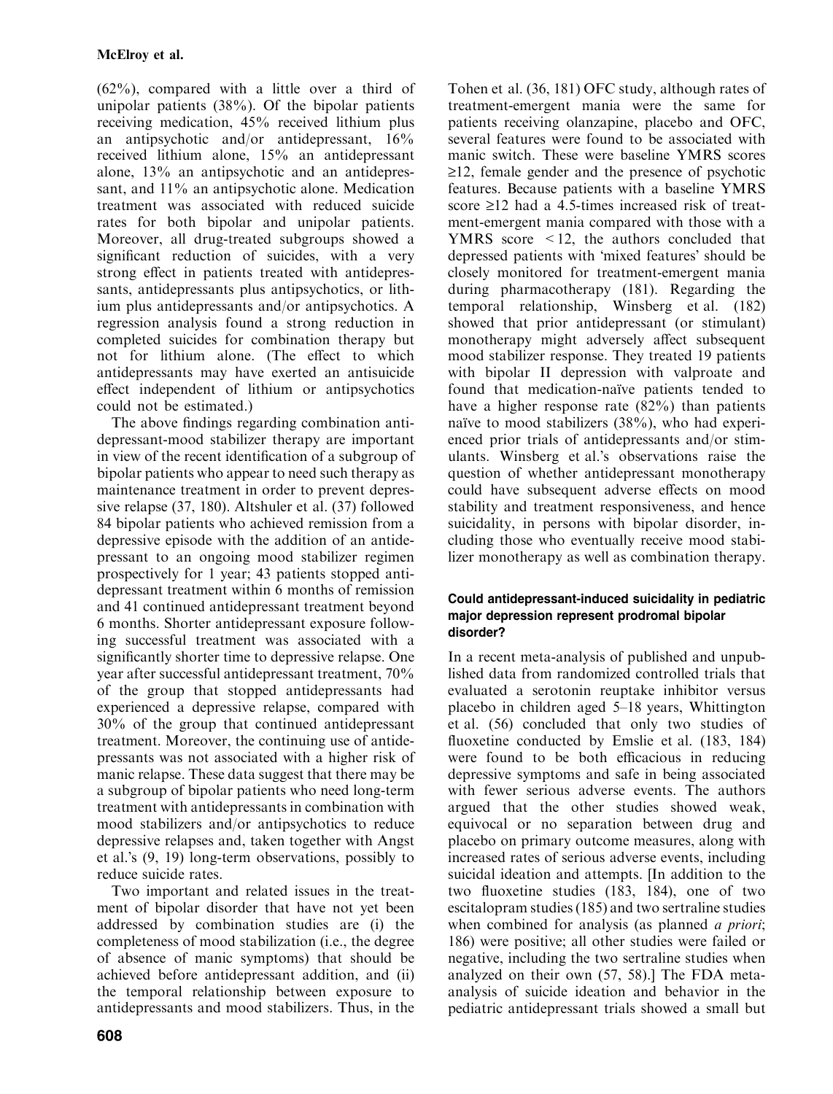(62%), compared with a little over a third of unipolar patients (38%). Of the bipolar patients receiving medication, 45% received lithium plus an antipsychotic and/or antidepressant, 16% received lithium alone, 15% an antidepressant alone, 13% an antipsychotic and an antidepressant, and 11% an antipsychotic alone. Medication treatment was associated with reduced suicide rates for both bipolar and unipolar patients. Moreover, all drug-treated subgroups showed a significant reduction of suicides, with a very strong effect in patients treated with antidepressants, antidepressants plus antipsychotics, or lithium plus antidepressants and/or antipsychotics. A regression analysis found a strong reduction in completed suicides for combination therapy but not for lithium alone. (The effect to which antidepressants may have exerted an antisuicide effect independent of lithium or antipsychotics could not be estimated.)

The above findings regarding combination antidepressant-mood stabilizer therapy are important in view of the recent identification of a subgroup of bipolar patients who appear to need such therapy as maintenance treatment in order to prevent depressive relapse (37, 180). Altshuler et al. (37) followed 84 bipolar patients who achieved remission from a depressive episode with the addition of an antidepressant to an ongoing mood stabilizer regimen prospectively for 1 year; 43 patients stopped antidepressant treatment within 6 months of remission and 41 continued antidepressant treatment beyond 6 months. Shorter antidepressant exposure following successful treatment was associated with a significantly shorter time to depressive relapse. One year after successful antidepressant treatment, 70% of the group that stopped antidepressants had experienced a depressive relapse, compared with 30% of the group that continued antidepressant treatment. Moreover, the continuing use of antidepressants was not associated with a higher risk of manic relapse. These data suggest that there may be a subgroup of bipolar patients who need long-term treatment with antidepressants in combination with mood stabilizers and/or antipsychotics to reduce depressive relapses and, taken together with Angst et al.'s  $(9, 19)$  long-term observations, possibly to reduce suicide rates.

Two important and related issues in the treatment of bipolar disorder that have not yet been addressed by combination studies are (i) the completeness of mood stabilization (i.e., the degree of absence of manic symptoms) that should be achieved before antidepressant addition, and (ii) the temporal relationship between exposure to antidepressants and mood stabilizers. Thus, in the Tohen et al. (36, 181) OFC study, although rates of treatment-emergent mania were the same for patients receiving olanzapine, placebo and OFC, several features were found to be associated with manic switch. These were baseline YMRS scores  $\geq$ 12, female gender and the presence of psychotic features. Because patients with a baseline YMRS score  $\ge$ 12 had a 4.5-times increased risk of treatment-emergent mania compared with those with a YMRS score <12, the authors concluded that depressed patients with 'mixed features' should be closely monitored for treatment-emergent mania during pharmacotherapy (181). Regarding the temporal relationship, Winsberg et al. (182) showed that prior antidepressant (or stimulant) monotherapy might adversely affect subsequent mood stabilizer response. They treated 19 patients with bipolar II depression with valproate and found that medication-naïve patients tended to have a higher response rate (82%) than patients naïve to mood stabilizers  $(38\%)$ , who had experienced prior trials of antidepressants and/or stimulants. Winsberg et al.'s observations raise the question of whether antidepressant monotherapy could have subsequent adverse effects on mood stability and treatment responsiveness, and hence suicidality, in persons with bipolar disorder, including those who eventually receive mood stabilizer monotherapy as well as combination therapy.

# Could antidepressant-induced suicidality in pediatric major depression represent prodromal bipolar disorder?

In a recent meta-analysis of published and unpublished data from randomized controlled trials that evaluated a serotonin reuptake inhibitor versus placebo in children aged 5–18 years, Whittington et al. (56) concluded that only two studies of fluoxetine conducted by Emslie et al. (183, 184) were found to be both efficacious in reducing depressive symptoms and safe in being associated with fewer serious adverse events. The authors argued that the other studies showed weak, equivocal or no separation between drug and placebo on primary outcome measures, along with increased rates of serious adverse events, including suicidal ideation and attempts. [In addition to the two fluoxetine studies (183, 184), one of two escitalopram studies (185) and two sertraline studies when combined for analysis (as planned *a priori*; 186) were positive; all other studies were failed or negative, including the two sertraline studies when analyzed on their own (57, 58).] The FDA metaanalysis of suicide ideation and behavior in the pediatric antidepressant trials showed a small but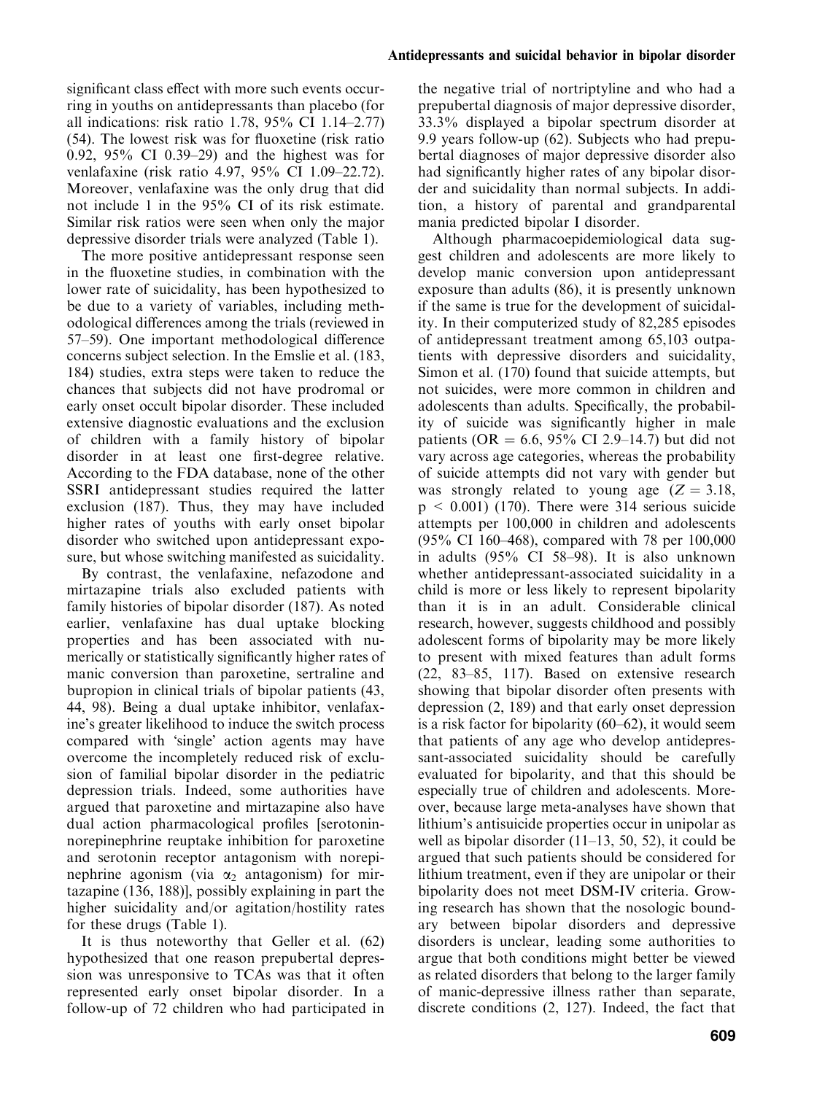Similar risk ratios were seen when only the major

depressive disorder trials were analyzed (Table 1). The more positive antidepressant response seen in the fluoxetine studies, in combination with the lower rate of suicidality, has been hypothesized to be due to a variety of variables, including methodological differences among the trials (reviewed in 57–59). One important methodological difference concerns subject selection. In the Emslie et al. (183, 184) studies, extra steps were taken to reduce the chances that subjects did not have prodromal or early onset occult bipolar disorder. These included extensive diagnostic evaluations and the exclusion of children with a family history of bipolar disorder in at least one first-degree relative. According to the FDA database, none of the other SSRI antidepressant studies required the latter exclusion (187). Thus, they may have included higher rates of youths with early onset bipolar disorder who switched upon antidepressant exposure, but whose switching manifested as suicidality.

By contrast, the venlafaxine, nefazodone and mirtazapine trials also excluded patients with family histories of bipolar disorder (187). As noted earlier, venlafaxine has dual uptake blocking properties and has been associated with numerically or statistically significantly higher rates of manic conversion than paroxetine, sertraline and bupropion in clinical trials of bipolar patients (43, 44, 98). Being a dual uptake inhibitor, venlafaxine's greater likelihood to induce the switch process compared with 'single' action agents may have overcome the incompletely reduced risk of exclusion of familial bipolar disorder in the pediatric depression trials. Indeed, some authorities have argued that paroxetine and mirtazapine also have dual action pharmacological profiles [serotoninnorepinephrine reuptake inhibition for paroxetine and serotonin receptor antagonism with norepinephrine agonism (via  $\alpha_2$  antagonism) for mirtazapine (136, 188)], possibly explaining in part the higher suicidality and/or agitation/hostility rates for these drugs (Table 1).

It is thus noteworthy that Geller et al. (62) hypothesized that one reason prepubertal depression was unresponsive to TCAs was that it often represented early onset bipolar disorder. In a follow-up of 72 children who had participated in the negative trial of nortriptyline and who had a prepubertal diagnosis of major depressive disorder, 33.3% displayed a bipolar spectrum disorder at 9.9 years follow-up (62). Subjects who had prepubertal diagnoses of major depressive disorder also had significantly higher rates of any bipolar disorder and suicidality than normal subjects. In addition, a history of parental and grandparental mania predicted bipolar I disorder.

Although pharmacoepidemiological data suggest children and adolescents are more likely to develop manic conversion upon antidepressant exposure than adults (86), it is presently unknown if the same is true for the development of suicidality. In their computerized study of 82,285 episodes of antidepressant treatment among 65,103 outpatients with depressive disorders and suicidality, Simon et al. (170) found that suicide attempts, but not suicides, were more common in children and adolescents than adults. Specifically, the probability of suicide was significantly higher in male patients (OR =  $6.6$ ,  $95\%$  CI 2.9–14.7) but did not vary across age categories, whereas the probability of suicide attempts did not vary with gender but was strongly related to young age  $(Z = 3.18,$  $p \leq 0.001$ ) (170). There were 314 serious suicide attempts per 100,000 in children and adolescents (95% CI 160–468), compared with 78 per 100,000 in adults (95% CI 58–98). It is also unknown whether antidepressant-associated suicidality in a child is more or less likely to represent bipolarity than it is in an adult. Considerable clinical research, however, suggests childhood and possibly adolescent forms of bipolarity may be more likely to present with mixed features than adult forms (22, 83–85, 117). Based on extensive research showing that bipolar disorder often presents with depression (2, 189) and that early onset depression is a risk factor for bipolarity (60–62), it would seem that patients of any age who develop antidepressant-associated suicidality should be carefully evaluated for bipolarity, and that this should be especially true of children and adolescents. Moreover, because large meta-analyses have shown that lithium's antisuicide properties occur in unipolar as well as bipolar disorder (11–13, 50, 52), it could be argued that such patients should be considered for lithium treatment, even if they are unipolar or their bipolarity does not meet DSM-IV criteria. Growing research has shown that the nosologic boundary between bipolar disorders and depressive disorders is unclear, leading some authorities to argue that both conditions might better be viewed as related disorders that belong to the larger family of manic-depressive illness rather than separate, discrete conditions (2, 127). Indeed, the fact that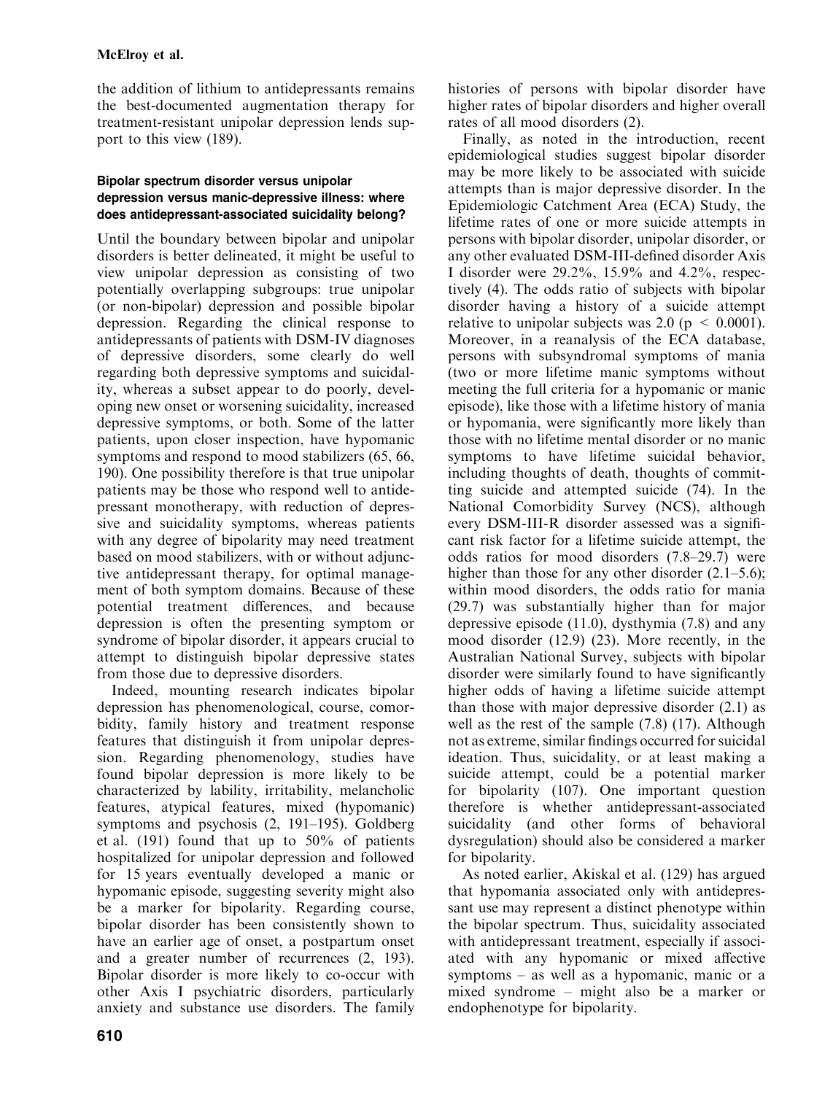the addition of lithium to antidepressants remains the best-documented augmentation therapy for treatment-resistant unipolar depression lends support to this view (189).

# Bipolar spectrum disorder versus unipolar depression versus manic-depressive illness: where does antidepressant-associated suicidality belong?

Until the boundary between bipolar and unipolar disorders is better delineated, it might be useful to view unipolar depression as consisting of two potentially overlapping subgroups: true unipolar (or non-bipolar) depression and possible bipolar depression. Regarding the clinical response to antidepressants of patients with DSM-IV diagnoses of depressive disorders, some clearly do well regarding both depressive symptoms and suicidality, whereas a subset appear to do poorly, developing new onset or worsening suicidality, increased depressive symptoms, or both. Some of the latter patients, upon closer inspection, have hypomanic symptoms and respond to mood stabilizers (65, 66, 190). One possibility therefore is that true unipolar patients may be those who respond well to antidepressant monotherapy, with reduction of depressive and suicidality symptoms, whereas patients with any degree of bipolarity may need treatment based on mood stabilizers, with or without adjunctive antidepressant therapy, for optimal management of both symptom domains. Because of these potential treatment differences, and because depression is often the presenting symptom or syndrome of bipolar disorder, it appears crucial to attempt to distinguish bipolar depressive states from those due to depressive disorders.

Indeed, mounting research indicates bipolar depression has phenomenological, course, comorbidity, family history and treatment response features that distinguish it from unipolar depression. Regarding phenomenology, studies have found bipolar depression is more likely to be characterized by lability, irritability, melancholic features, atypical features, mixed (hypomanic) symptoms and psychosis (2, 191–195). Goldberg et al. (191) found that up to 50% of patients hospitalized for unipolar depression and followed for 15 years eventually developed a manic or hypomanic episode, suggesting severity might also be a marker for bipolarity. Regarding course, bipolar disorder has been consistently shown to have an earlier age of onset, a postpartum onset and a greater number of recurrences (2, 193). Bipolar disorder is more likely to co-occur with other Axis I psychiatric disorders, particularly anxiety and substance use disorders. The family histories of persons with bipolar disorder have higher rates of bipolar disorders and higher overall rates of all mood disorders (2).

Finally, as noted in the introduction, recent epidemiological studies suggest bipolar disorder may be more likely to be associated with suicide attempts than is major depressive disorder. In the Epidemiologic Catchment Area (ECA) Study, the lifetime rates of one or more suicide attempts in persons with bipolar disorder, unipolar disorder, or any other evaluated DSM-III-defined disorder Axis I disorder were 29.2%, 15.9% and 4.2%, respectively (4). The odds ratio of subjects with bipolar disorder having a history of a suicide attempt relative to unipolar subjects was  $2.0$  (p  $\leq 0.0001$ ). Moreover, in a reanalysis of the ECA database, persons with subsyndromal symptoms of mania (two or more lifetime manic symptoms without meeting the full criteria for a hypomanic or manic episode), like those with a lifetime history of mania or hypomania, were significantly more likely than those with no lifetime mental disorder or no manic symptoms to have lifetime suicidal behavior, including thoughts of death, thoughts of committing suicide and attempted suicide (74). In the National Comorbidity Survey (NCS), although every DSM-III-R disorder assessed was a significant risk factor for a lifetime suicide attempt, the odds ratios for mood disorders (7.8–29.7) were higher than those for any other disorder  $(2.1–5.6)$ ; within mood disorders, the odds ratio for mania (29.7) was substantially higher than for major depressive episode (11.0), dysthymia (7.8) and any mood disorder (12.9) (23). More recently, in the Australian National Survey, subjects with bipolar disorder were similarly found to have significantly higher odds of having a lifetime suicide attempt than those with major depressive disorder (2.1) as well as the rest of the sample (7.8) (17). Although not as extreme, similar findings occurred for suicidal ideation. Thus, suicidality, or at least making a suicide attempt, could be a potential marker for bipolarity (107). One important question therefore is whether antidepressant-associated suicidality (and other forms of behavioral dysregulation) should also be considered a marker for bipolarity.

As noted earlier, Akiskal et al. (129) has argued that hypomania associated only with antidepressant use may represent a distinct phenotype within the bipolar spectrum. Thus, suicidality associated with antidepressant treatment, especially if associated with any hypomanic or mixed affective symptoms – as well as a hypomanic, manic or a mixed syndrome – might also be a marker or endophenotype for bipolarity.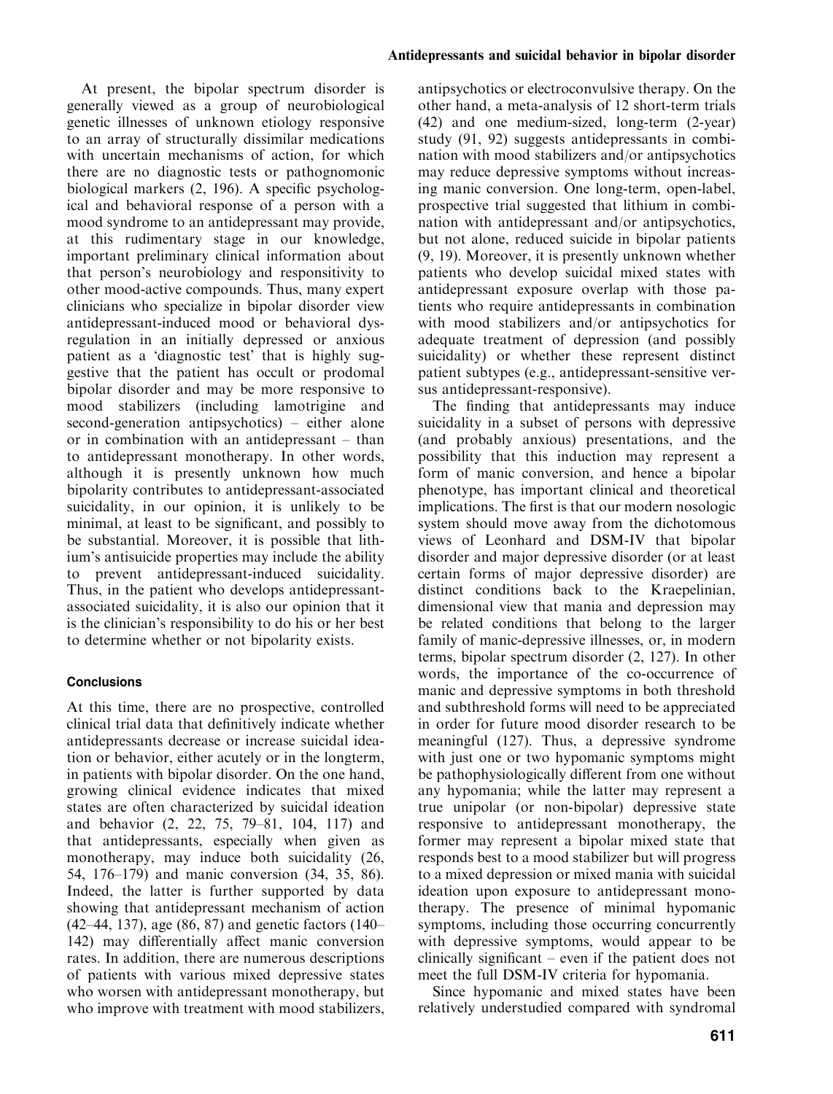At present, the bipolar spectrum disorder is generally viewed as a group of neurobiological genetic illnesses of unknown etiology responsive to an array of structurally dissimilar medications with uncertain mechanisms of action, for which there are no diagnostic tests or pathognomonic biological markers (2, 196). A specific psychological and behavioral response of a person with a mood syndrome to an antidepressant may provide, at this rudimentary stage in our knowledge, important preliminary clinical information about that person's neurobiology and responsitivity to other mood-active compounds. Thus, many expert clinicians who specialize in bipolar disorder view antidepressant-induced mood or behavioral dysregulation in an initially depressed or anxious patient as a 'diagnostic test' that is highly suggestive that the patient has occult or prodomal bipolar disorder and may be more responsive to mood stabilizers (including lamotrigine and second-generation antipsychotics) – either alone or in combination with an antidepressant – than to antidepressant monotherapy. In other words, although it is presently unknown how much bipolarity contributes to antidepressant-associated suicidality, in our opinion, it is unlikely to be minimal, at least to be significant, and possibly to be substantial. Moreover, it is possible that lithium's antisuicide properties may include the ability to prevent antidepressant-induced suicidality. Thus, in the patient who develops antidepressantassociated suicidality, it is also our opinion that it is the clinician's responsibility to do his or her best to determine whether or not bipolarity exists.

# **Conclusions**

At this time, there are no prospective, controlled clinical trial data that definitively indicate whether antidepressants decrease or increase suicidal ideation or behavior, either acutely or in the longterm, in patients with bipolar disorder. On the one hand, growing clinical evidence indicates that mixed states are often characterized by suicidal ideation and behavior (2, 22, 75, 79–81, 104, 117) and that antidepressants, especially when given as monotherapy, may induce both suicidality (26, 54, 176–179) and manic conversion (34, 35, 86). Indeed, the latter is further supported by data showing that antidepressant mechanism of action (42–44, 137), age (86, 87) and genetic factors (140– 142) may differentially affect manic conversion rates. In addition, there are numerous descriptions of patients with various mixed depressive states who worsen with antidepressant monotherapy, but who improve with treatment with mood stabilizers, antipsychotics or electroconvulsive therapy. On the other hand, a meta-analysis of 12 short-term trials (42) and one medium-sized, long-term (2-year) study (91, 92) suggests antidepressants in combination with mood stabilizers and/or antipsychotics may reduce depressive symptoms without increasing manic conversion. One long-term, open-label, prospective trial suggested that lithium in combination with antidepressant and/or antipsychotics, but not alone, reduced suicide in bipolar patients (9, 19). Moreover, it is presently unknown whether patients who develop suicidal mixed states with antidepressant exposure overlap with those patients who require antidepressants in combination with mood stabilizers and/or antipsychotics for adequate treatment of depression (and possibly suicidality) or whether these represent distinct patient subtypes (e.g., antidepressant-sensitive versus antidepressant-responsive).

The finding that antidepressants may induce suicidality in a subset of persons with depressive (and probably anxious) presentations, and the possibility that this induction may represent a form of manic conversion, and hence a bipolar phenotype, has important clinical and theoretical implications. The first is that our modern nosologic system should move away from the dichotomous views of Leonhard and DSM-IV that bipolar disorder and major depressive disorder (or at least certain forms of major depressive disorder) are distinct conditions back to the Kraepelinian, dimensional view that mania and depression may be related conditions that belong to the larger family of manic-depressive illnesses, or, in modern terms, bipolar spectrum disorder (2, 127). In other words, the importance of the co-occurrence of manic and depressive symptoms in both threshold and subthreshold forms will need to be appreciated in order for future mood disorder research to be meaningful (127). Thus, a depressive syndrome with just one or two hypomanic symptoms might be pathophysiologically different from one without any hypomania; while the latter may represent a true unipolar (or non-bipolar) depressive state responsive to antidepressant monotherapy, the former may represent a bipolar mixed state that responds best to a mood stabilizer but will progress to a mixed depression or mixed mania with suicidal ideation upon exposure to antidepressant monotherapy. The presence of minimal hypomanic symptoms, including those occurring concurrently with depressive symptoms, would appear to be clinically significant – even if the patient does not meet the full DSM-IV criteria for hypomania.

Since hypomanic and mixed states have been relatively understudied compared with syndromal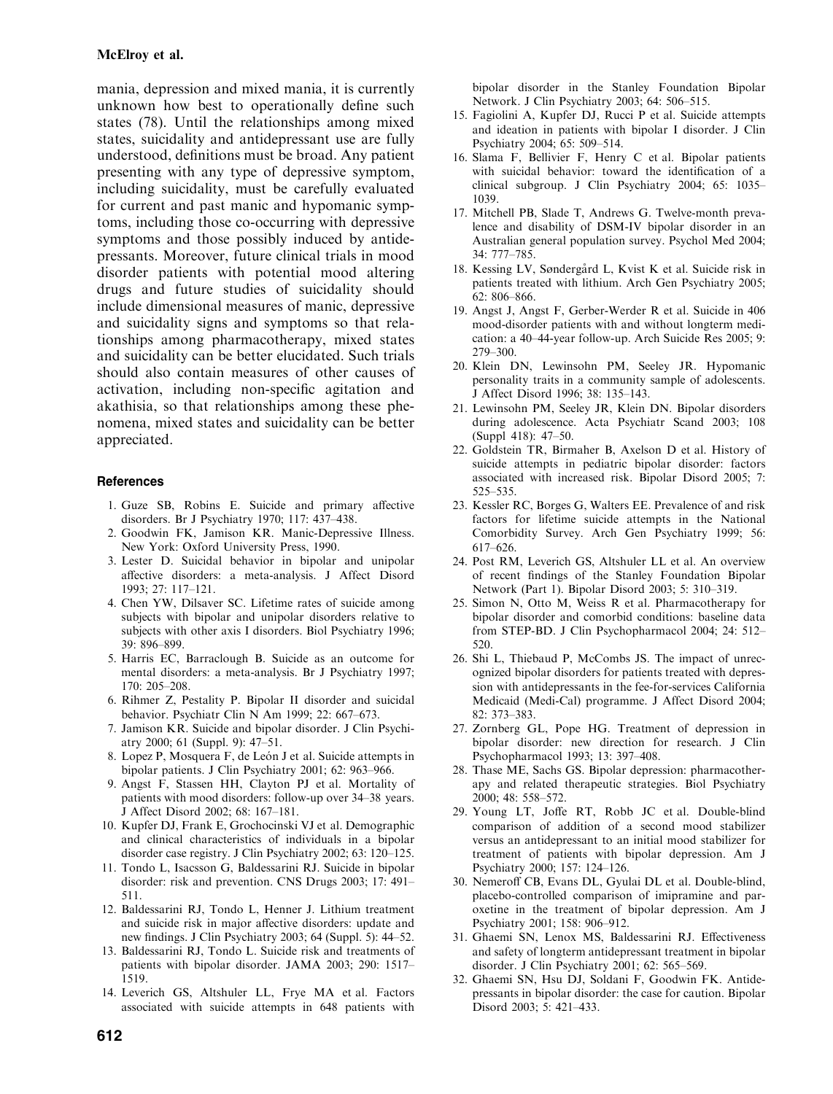#### McElroy et al.

mania, depression and mixed mania, it is currently unknown how best to operationally define such states (78). Until the relationships among mixed states, suicidality and antidepressant use are fully understood, definitions must be broad. Any patient presenting with any type of depressive symptom, including suicidality, must be carefully evaluated for current and past manic and hypomanic symptoms, including those co-occurring with depressive symptoms and those possibly induced by antidepressants. Moreover, future clinical trials in mood disorder patients with potential mood altering drugs and future studies of suicidality should include dimensional measures of manic, depressive and suicidality signs and symptoms so that relationships among pharmacotherapy, mixed states and suicidality can be better elucidated. Such trials should also contain measures of other causes of activation, including non-specific agitation and akathisia, so that relationships among these phenomena, mixed states and suicidality can be better appreciated.

#### References

- 1. Guze SB, Robins E. Suicide and primary affective disorders. Br J Psychiatry 1970; 117: 437–438.
- 2. Goodwin FK, Jamison KR. Manic-Depressive Illness. New York: Oxford University Press, 1990.
- 3. Lester D. Suicidal behavior in bipolar and unipolar affective disorders: a meta-analysis. J Affect Disord 1993; 27: 117–121.
- 4. Chen YW, Dilsaver SC. Lifetime rates of suicide among subjects with bipolar and unipolar disorders relative to subjects with other axis I disorders. Biol Psychiatry 1996; 39: 896–899.
- 5. Harris EC, Barraclough B. Suicide as an outcome for mental disorders: a meta-analysis. Br J Psychiatry 1997; 170: 205–208.
- 6. Rihmer Z, Pestality P. Bipolar II disorder and suicidal behavior. Psychiatr Clin N Am 1999; 22: 667–673.
- 7. Jamison KR. Suicide and bipolar disorder. J Clin Psychiatry 2000; 61 (Suppl. 9): 47–51.
- 8. Lopez P, Mosquera F, de León J et al. Suicide attempts in bipolar patients. J Clin Psychiatry 2001; 62: 963–966.
- 9. Angst F, Stassen HH, Clayton PJ et al. Mortality of patients with mood disorders: follow-up over 34–38 years. J Affect Disord 2002; 68: 167–181.
- 10. Kupfer DJ, Frank E, Grochocinski VJ et al. Demographic and clinical characteristics of individuals in a bipolar disorder case registry. J Clin Psychiatry 2002; 63: 120–125.
- 11. Tondo L, Isacsson G, Baldessarini RJ. Suicide in bipolar disorder: risk and prevention. CNS Drugs 2003; 17: 491– 511.
- 12. Baldessarini RJ, Tondo L, Henner J. Lithium treatment and suicide risk in major affective disorders: update and new findings. J Clin Psychiatry 2003; 64 (Suppl. 5): 44–52.
- 13. Baldessarini RJ, Tondo L. Suicide risk and treatments of patients with bipolar disorder. JAMA 2003; 290: 1517– 1519.
- 14. Leverich GS, Altshuler LL, Frye MA et al. Factors associated with suicide attempts in 648 patients with

bipolar disorder in the Stanley Foundation Bipolar Network. J Clin Psychiatry 2003; 64: 506–515.

- 15. Fagiolini A, Kupfer DJ, Rucci P et al. Suicide attempts and ideation in patients with bipolar I disorder. J Clin Psychiatry 2004; 65: 509–514.
- 16. Slama F, Bellivier F, Henry C et al. Bipolar patients with suicidal behavior: toward the identification of a clinical subgroup. J Clin Psychiatry 2004; 65: 1035– 1039.
- 17. Mitchell PB, Slade T, Andrews G. Twelve-month prevalence and disability of DSM-IV bipolar disorder in an Australian general population survey. Psychol Med 2004; 34: 777–785.
- 18. Kessing LV, Søndergård L, Kvist K et al. Suicide risk in patients treated with lithium. Arch Gen Psychiatry 2005; 62: 806–866.
- 19. Angst J, Angst F, Gerber-Werder R et al. Suicide in 406 mood-disorder patients with and without longterm medication: a 40–44-year follow-up. Arch Suicide Res 2005; 9: 279–300.
- 20. Klein DN, Lewinsohn PM, Seeley JR. Hypomanic personality traits in a community sample of adolescents. J Affect Disord 1996; 38: 135–143.
- 21. Lewinsohn PM, Seeley JR, Klein DN. Bipolar disorders during adolescence. Acta Psychiatr Scand 2003; 108 (Suppl 418): 47–50.
- 22. Goldstein TR, Birmaher B, Axelson D et al. History of suicide attempts in pediatric bipolar disorder: factors associated with increased risk. Bipolar Disord 2005; 7: 525–535.
- 23. Kessler RC, Borges G, Walters EE. Prevalence of and risk factors for lifetime suicide attempts in the National Comorbidity Survey. Arch Gen Psychiatry 1999; 56: 617–626.
- 24. Post RM, Leverich GS, Altshuler LL et al. An overview of recent findings of the Stanley Foundation Bipolar Network (Part 1). Bipolar Disord 2003; 5: 310–319.
- 25. Simon N, Otto M, Weiss R et al. Pharmacotherapy for bipolar disorder and comorbid conditions: baseline data from STEP-BD. J Clin Psychopharmacol 2004; 24: 512– 520.
- 26. Shi L, Thiebaud P, McCombs JS. The impact of unrecognized bipolar disorders for patients treated with depression with antidepressants in the fee-for-services California Medicaid (Medi-Cal) programme. J Affect Disord 2004; 82: 373–383.
- 27. Zornberg GL, Pope HG. Treatment of depression in bipolar disorder: new direction for research. J Clin Psychopharmacol 1993; 13: 397–408.
- 28. Thase ME, Sachs GS. Bipolar depression: pharmacotherapy and related therapeutic strategies. Biol Psychiatry 2000; 48: 558–572.
- 29. Young LT, Joffe RT, Robb JC et al. Double-blind comparison of addition of a second mood stabilizer versus an antidepressant to an initial mood stabilizer for treatment of patients with bipolar depression. Am J Psychiatry 2000; 157: 124–126.
- 30. Nemeroff CB, Evans DL, Gyulai DL et al. Double-blind, placebo-controlled comparison of imipramine and paroxetine in the treatment of bipolar depression. Am J Psychiatry 2001; 158: 906–912.
- 31. Ghaemi SN, Lenox MS, Baldessarini RJ. Effectiveness and safety of longterm antidepressant treatment in bipolar disorder. J Clin Psychiatry 2001; 62: 565–569.
- 32. Ghaemi SN, Hsu DJ, Soldani F, Goodwin FK. Antidepressants in bipolar disorder: the case for caution. Bipolar Disord 2003; 5: 421–433.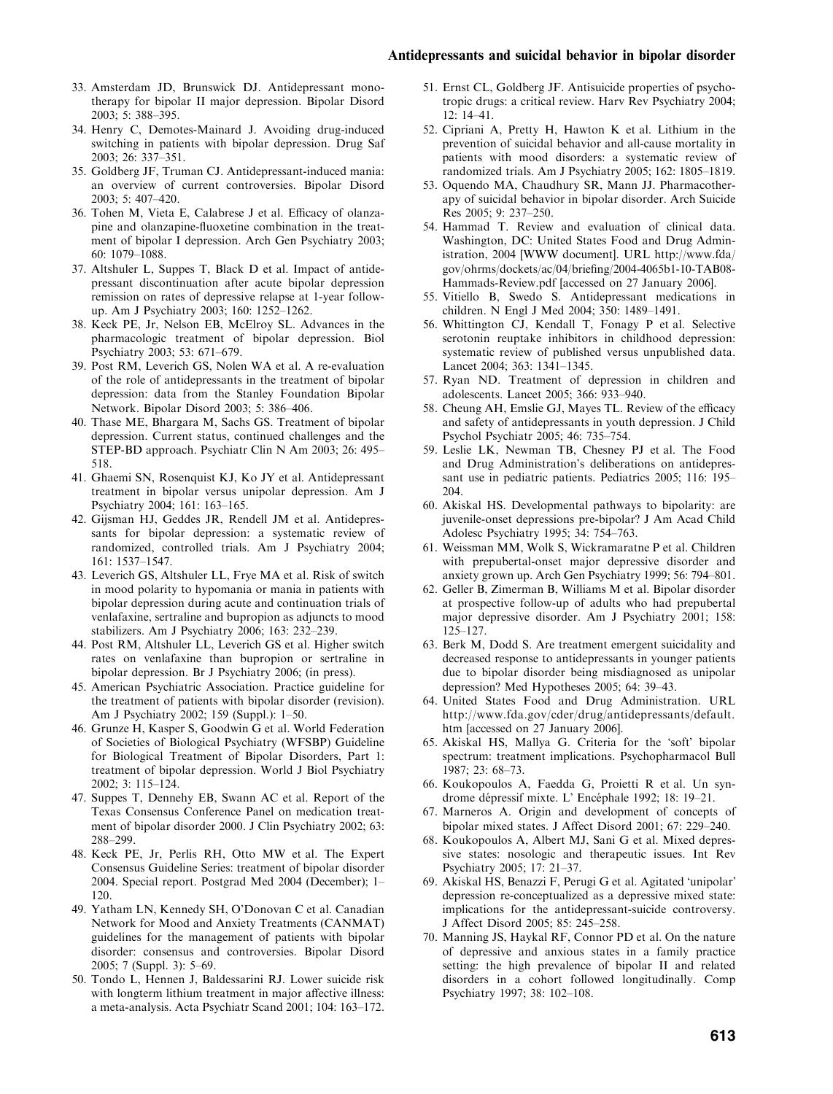#### Antidepressants and suicidal behavior in bipolar disorder

- 33. Amsterdam JD, Brunswick DJ. Antidepressant monotherapy for bipolar II major depression. Bipolar Disord 2003; 5: 388–395.
- 34. Henry C, Demotes-Mainard J. Avoiding drug-induced switching in patients with bipolar depression. Drug Saf 2003; 26: 337–351.
- 35. Goldberg JF, Truman CJ. Antidepressant-induced mania: an overview of current controversies. Bipolar Disord 2003; 5: 407–420.
- 36. Tohen M, Vieta E, Calabrese J et al. Efficacy of olanzapine and olanzapine-fluoxetine combination in the treatment of bipolar I depression. Arch Gen Psychiatry 2003; 60: 1079–1088.
- 37. Altshuler L, Suppes T, Black D et al. Impact of antidepressant discontinuation after acute bipolar depression remission on rates of depressive relapse at 1-year followup. Am J Psychiatry 2003; 160: 1252–1262.
- 38. Keck PE, Jr, Nelson EB, McElroy SL. Advances in the pharmacologic treatment of bipolar depression. Biol Psychiatry 2003; 53: 671–679.
- 39. Post RM, Leverich GS, Nolen WA et al. A re-evaluation of the role of antidepressants in the treatment of bipolar depression: data from the Stanley Foundation Bipolar Network. Bipolar Disord 2003; 5: 386–406.
- 40. Thase ME, Bhargara M, Sachs GS. Treatment of bipolar depression. Current status, continued challenges and the STEP-BD approach. Psychiatr Clin N Am 2003; 26: 495– 518.
- 41. Ghaemi SN, Rosenquist KJ, Ko JY et al. Antidepressant treatment in bipolar versus unipolar depression. Am J Psychiatry 2004; 161: 163–165.
- 42. Gijsman HJ, Geddes JR, Rendell JM et al. Antidepressants for bipolar depression: a systematic review of randomized, controlled trials. Am J Psychiatry 2004; 161: 1537–1547.
- 43. Leverich GS, Altshuler LL, Frye MA et al. Risk of switch in mood polarity to hypomania or mania in patients with bipolar depression during acute and continuation trials of venlafaxine, sertraline and bupropion as adjuncts to mood stabilizers. Am J Psychiatry 2006; 163: 232–239.
- 44. Post RM, Altshuler LL, Leverich GS et al. Higher switch rates on venlafaxine than bupropion or sertraline in bipolar depression. Br J Psychiatry 2006; (in press).
- 45. American Psychiatric Association. Practice guideline for the treatment of patients with bipolar disorder (revision). Am J Psychiatry 2002; 159 (Suppl.): 1–50.
- 46. Grunze H, Kasper S, Goodwin G et al. World Federation of Societies of Biological Psychiatry (WFSBP) Guideline for Biological Treatment of Bipolar Disorders, Part 1: treatment of bipolar depression. World J Biol Psychiatry 2002; 3: 115–124.
- 47. Suppes T, Dennehy EB, Swann AC et al. Report of the Texas Consensus Conference Panel on medication treatment of bipolar disorder 2000. J Clin Psychiatry 2002; 63: 288–299.
- 48. Keck PE, Jr, Perlis RH, Otto MW et al. The Expert Consensus Guideline Series: treatment of bipolar disorder 2004. Special report. Postgrad Med 2004 (December); 1– 120.
- 49. Yatham LN, Kennedy SH, O'Donovan C et al. Canadian Network for Mood and Anxiety Treatments (CANMAT) guidelines for the management of patients with bipolar disorder: consensus and controversies. Bipolar Disord 2005; 7 (Suppl. 3): 5–69.
- 50. Tondo L, Hennen J, Baldessarini RJ. Lower suicide risk with longterm lithium treatment in major affective illness: a meta-analysis. Acta Psychiatr Scand 2001; 104: 163–172.
- 51. Ernst CL, Goldberg JF. Antisuicide properties of psychotropic drugs: a critical review. Harv Rev Psychiatry 2004; 12: 14–41.
- 52. Cipriani A, Pretty H, Hawton K et al. Lithium in the prevention of suicidal behavior and all-cause mortality in patients with mood disorders: a systematic review of randomized trials. Am J Psychiatry 2005; 162: 1805–1819.
- 53. Oquendo MA, Chaudhury SR, Mann JJ. Pharmacotherapy of suicidal behavior in bipolar disorder. Arch Suicide Res 2005; 9: 237–250.
- 54. Hammad T. Review and evaluation of clinical data. Washington, DC: United States Food and Drug Administration, 2004 [WWW document]. URL http://www.fda/ gov/ohrms/dockets/ac/04/briefing/2004-4065b1-10-TAB08- Hammads-Review.pdf [accessed on 27 January 2006].
- 55. Vitiello B, Swedo S. Antidepressant medications in children. N Engl J Med 2004; 350: 1489–1491.
- 56. Whittington CJ, Kendall T, Fonagy P et al. Selective serotonin reuptake inhibitors in childhood depression: systematic review of published versus unpublished data. Lancet 2004; 363: 1341–1345.
- 57. Ryan ND. Treatment of depression in children and adolescents. Lancet 2005; 366: 933–940.
- 58. Cheung AH, Emslie GJ, Mayes TL. Review of the efficacy and safety of antidepressants in youth depression. J Child Psychol Psychiatr 2005; 46: 735–754.
- 59. Leslie LK, Newman TB, Chesney PJ et al. The Food and Drug Administration's deliberations on antidepressant use in pediatric patients. Pediatrics 2005; 116: 195– 204.
- 60. Akiskal HS. Developmental pathways to bipolarity: are juvenile-onset depressions pre-bipolar? J Am Acad Child Adolesc Psychiatry 1995; 34: 754–763.
- 61. Weissman MM, Wolk S, Wickramaratne P et al. Children with prepubertal-onset major depressive disorder and anxiety grown up. Arch Gen Psychiatry 1999; 56: 794–801.
- 62. Geller B, Zimerman B, Williams M et al. Bipolar disorder at prospective follow-up of adults who had prepubertal major depressive disorder. Am J Psychiatry 2001; 158: 125–127.
- 63. Berk M, Dodd S. Are treatment emergent suicidality and decreased response to antidepressants in younger patients due to bipolar disorder being misdiagnosed as unipolar depression? Med Hypotheses 2005; 64: 39–43.
- 64. United States Food and Drug Administration. URL http://www.fda.gov/cder/drug/antidepressants/default. htm [accessed on 27 January 2006].
- 65. Akiskal HS, Mallya G. Criteria for the 'soft' bipolar spectrum: treatment implications. Psychopharmacol Bull 1987; 23: 68–73.
- 66. Koukopoulos A, Faedda G, Proietti R et al. Un syndrome dépressif mixte. L'Encéphale 1992; 18: 19–21.
- 67. Marneros A. Origin and development of concepts of bipolar mixed states. J Affect Disord 2001; 67: 229–240.
- 68. Koukopoulos A, Albert MJ, Sani G et al. Mixed depressive states: nosologic and therapeutic issues. Int Rev Psychiatry 2005; 17: 21–37.
- 69. Akiskal HS, Benazzi F, Perugi G et al. Agitated 'unipolar' depression re-conceptualized as a depressive mixed state: implications for the antidepressant-suicide controversy. J Affect Disord 2005; 85: 245–258.
- 70. Manning JS, Haykal RF, Connor PD et al. On the nature of depressive and anxious states in a family practice setting: the high prevalence of bipolar II and related disorders in a cohort followed longitudinally. Comp Psychiatry 1997; 38: 102–108.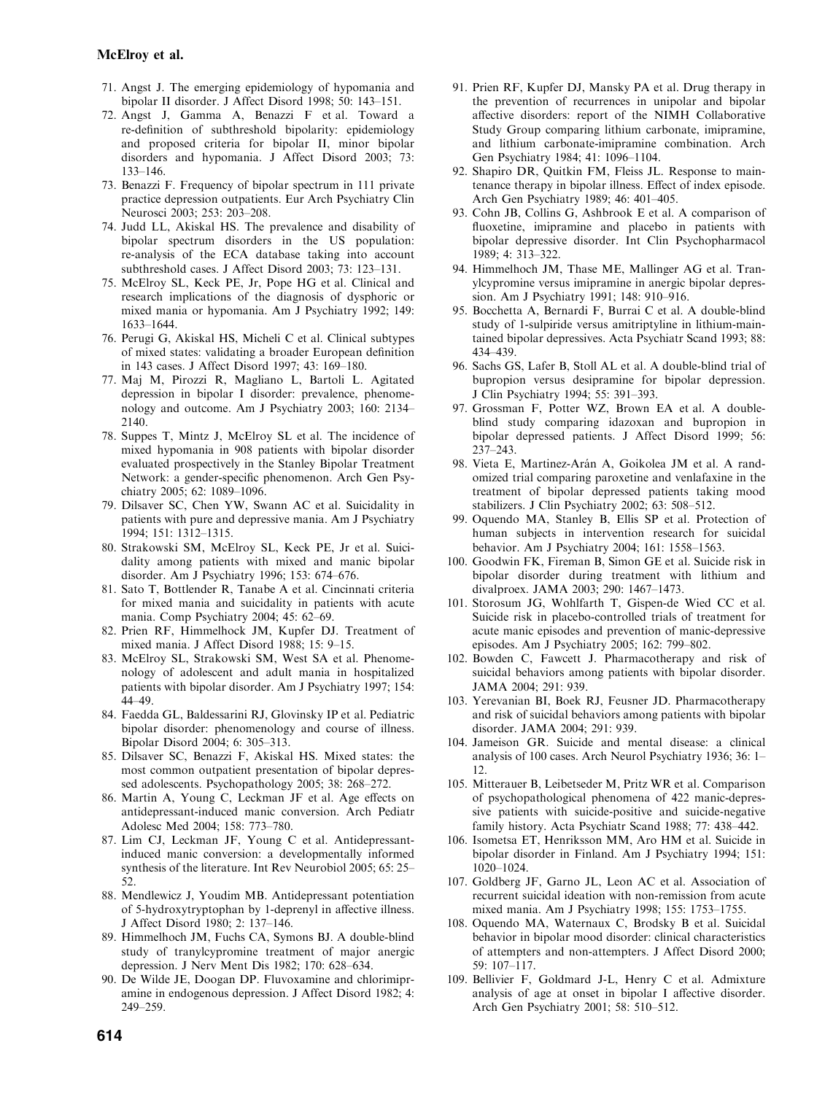- 71. Angst J. The emerging epidemiology of hypomania and bipolar II disorder. J Affect Disord 1998; 50: 143–151.
- 72. Angst J, Gamma A, Benazzi F et al. Toward a re-definition of subthreshold bipolarity: epidemiology and proposed criteria for bipolar II, minor bipolar disorders and hypomania. J Affect Disord 2003; 73: 133–146.
- 73. Benazzi F. Frequency of bipolar spectrum in 111 private practice depression outpatients. Eur Arch Psychiatry Clin Neurosci 2003; 253: 203–208.
- 74. Judd LL, Akiskal HS. The prevalence and disability of bipolar spectrum disorders in the US population: re-analysis of the ECA database taking into account subthreshold cases. J Affect Disord 2003; 73: 123–131.
- 75. McElroy SL, Keck PE, Jr, Pope HG et al. Clinical and research implications of the diagnosis of dysphoric or mixed mania or hypomania. Am J Psychiatry 1992; 149: 1633–1644.
- 76. Perugi G, Akiskal HS, Micheli C et al. Clinical subtypes of mixed states: validating a broader European definition in 143 cases. J Affect Disord 1997; 43: 169–180.
- 77. Maj M, Pirozzi R, Magliano L, Bartoli L. Agitated depression in bipolar I disorder: prevalence, phenomenology and outcome. Am J Psychiatry 2003; 160: 2134– 2140.
- 78. Suppes T, Mintz J, McElroy SL et al. The incidence of mixed hypomania in 908 patients with bipolar disorder evaluated prospectively in the Stanley Bipolar Treatment Network: a gender-specific phenomenon. Arch Gen Psychiatry 2005; 62: 1089–1096.
- 79. Dilsaver SC, Chen YW, Swann AC et al. Suicidality in patients with pure and depressive mania. Am J Psychiatry 1994; 151: 1312–1315.
- 80. Strakowski SM, McElroy SL, Keck PE, Jr et al. Suicidality among patients with mixed and manic bipolar disorder. Am J Psychiatry 1996; 153: 674–676.
- 81. Sato T, Bottlender R, Tanabe A et al. Cincinnati criteria for mixed mania and suicidality in patients with acute mania. Comp Psychiatry 2004; 45: 62–69.
- 82. Prien RF, Himmelhock JM, Kupfer DJ. Treatment of mixed mania. J Affect Disord 1988; 15: 9–15.
- 83. McElroy SL, Strakowski SM, West SA et al. Phenomenology of adolescent and adult mania in hospitalized patients with bipolar disorder. Am J Psychiatry 1997; 154: 44–49.
- 84. Faedda GL, Baldessarini RJ, Glovinsky IP et al. Pediatric bipolar disorder: phenomenology and course of illness. Bipolar Disord 2004; 6: 305–313.
- 85. Dilsaver SC, Benazzi F, Akiskal HS. Mixed states: the most common outpatient presentation of bipolar depressed adolescents. Psychopathology 2005; 38: 268–272.
- 86. Martin A, Young C, Leckman JF et al. Age effects on antidepressant-induced manic conversion. Arch Pediatr Adolesc Med 2004; 158: 773–780.
- 87. Lim CJ, Leckman JF, Young C et al. Antidepressantinduced manic conversion: a developmentally informed synthesis of the literature. Int Rev Neurobiol 2005; 65: 25– 52.
- 88. Mendlewicz J, Youdim MB. Antidepressant potentiation of 5-hydroxytryptophan by 1-deprenyl in affective illness. J Affect Disord 1980; 2: 137–146.
- 89. Himmelhoch JM, Fuchs CA, Symons BJ. A double-blind study of tranylcypromine treatment of major anergic depression. J Nerv Ment Dis 1982; 170: 628–634.
- 90. De Wilde JE, Doogan DP. Fluvoxamine and chlorimipramine in endogenous depression. J Affect Disord 1982; 4: 249–259.
- 91. Prien RF, Kupfer DJ, Mansky PA et al. Drug therapy in the prevention of recurrences in unipolar and bipolar affective disorders: report of the NIMH Collaborative Study Group comparing lithium carbonate, imipramine, and lithium carbonate-imipramine combination. Arch Gen Psychiatry 1984; 41: 1096–1104.
- 92. Shapiro DR, Quitkin FM, Fleiss JL. Response to maintenance therapy in bipolar illness. Effect of index episode. Arch Gen Psychiatry 1989; 46: 401–405.
- 93. Cohn JB, Collins G, Ashbrook E et al. A comparison of fluoxetine, imipramine and placebo in patients with bipolar depressive disorder. Int Clin Psychopharmacol 1989; 4: 313–322.
- 94. Himmelhoch JM, Thase ME, Mallinger AG et al. Tranylcypromine versus imipramine in anergic bipolar depression. Am J Psychiatry 1991; 148: 910–916.
- 95. Bocchetta A, Bernardi F, Burrai C et al. A double-blind study of 1-sulpiride versus amitriptyline in lithium-maintained bipolar depressives. Acta Psychiatr Scand 1993; 88: 434–439.
- 96. Sachs GS, Lafer B, Stoll AL et al. A double-blind trial of bupropion versus desipramine for bipolar depression. J Clin Psychiatry 1994; 55: 391–393.
- 97. Grossman F, Potter WZ, Brown EA et al. A doubleblind study comparing idazoxan and bupropion in bipolar depressed patients. J Affect Disord 1999; 56: 237–243.
- 98. Vieta E, Martinez-Arán A, Goikolea JM et al. A randomized trial comparing paroxetine and venlafaxine in the treatment of bipolar depressed patients taking mood stabilizers. J Clin Psychiatry 2002; 63: 508–512.
- 99. Oquendo MA, Stanley B, Ellis SP et al. Protection of human subjects in intervention research for suicidal behavior. Am J Psychiatry 2004; 161: 1558–1563.
- 100. Goodwin FK, Fireman B, Simon GE et al. Suicide risk in bipolar disorder during treatment with lithium and divalproex. JAMA 2003; 290: 1467–1473.
- 101. Storosum JG, Wohlfarth T, Gispen-de Wied CC et al. Suicide risk in placebo-controlled trials of treatment for acute manic episodes and prevention of manic-depressive episodes. Am J Psychiatry 2005; 162: 799–802.
- 102. Bowden C, Fawcett J. Pharmacotherapy and risk of suicidal behaviors among patients with bipolar disorder. JAMA 2004; 291: 939.
- 103. Yerevanian BI, Boek RJ, Feusner JD. Pharmacotherapy and risk of suicidal behaviors among patients with bipolar disorder. JAMA 2004; 291: 939.
- 104. Jameison GR. Suicide and mental disease: a clinical analysis of 100 cases. Arch Neurol Psychiatry 1936; 36: 1– 12.
- 105. Mitterauer B, Leibetseder M, Pritz WR et al. Comparison of psychopathological phenomena of 422 manic-depressive patients with suicide-positive and suicide-negative family history. Acta Psychiatr Scand 1988; 77: 438–442.
- 106. Isometsa ET, Henriksson MM, Aro HM et al. Suicide in bipolar disorder in Finland. Am J Psychiatry 1994; 151: 1020–1024.
- 107. Goldberg JF, Garno JL, Leon AC et al. Association of recurrent suicidal ideation with non-remission from acute mixed mania. Am J Psychiatry 1998; 155: 1753–1755.
- 108. Oquendo MA, Waternaux C, Brodsky B et al. Suicidal behavior in bipolar mood disorder: clinical characteristics of attempters and non-attempters. J Affect Disord 2000; 59: 107–117.
- 109. Bellivier F, Goldmard J-L, Henry C et al. Admixture analysis of age at onset in bipolar I affective disorder. Arch Gen Psychiatry 2001; 58: 510–512.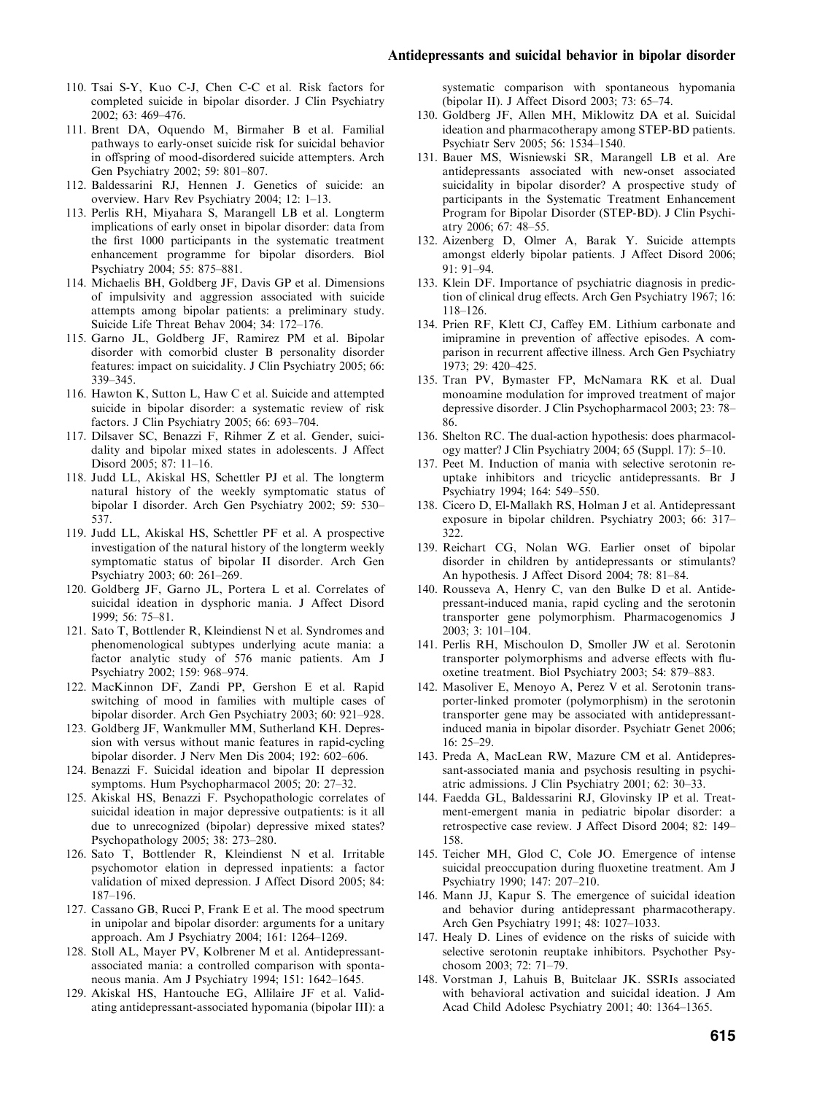#### Antidepressants and suicidal behavior in bipolar disorder

- 110. Tsai S-Y, Kuo C-J, Chen C-C et al. Risk factors for completed suicide in bipolar disorder. J Clin Psychiatry 2002; 63: 469–476.
- 111. Brent DA, Oquendo M, Birmaher B et al. Familial pathways to early-onset suicide risk for suicidal behavior in offspring of mood-disordered suicide attempters. Arch Gen Psychiatry 2002; 59: 801–807.
- 112. Baldessarini RJ, Hennen J. Genetics of suicide: an overview. Harv Rev Psychiatry 2004; 12: 1–13.
- 113. Perlis RH, Miyahara S, Marangell LB et al. Longterm implications of early onset in bipolar disorder: data from the first 1000 participants in the systematic treatment enhancement programme for bipolar disorders. Biol Psychiatry 2004; 55: 875–881.
- 114. Michaelis BH, Goldberg JF, Davis GP et al. Dimensions of impulsivity and aggression associated with suicide attempts among bipolar patients: a preliminary study. Suicide Life Threat Behav 2004; 34: 172–176.
- 115. Garno JL, Goldberg JF, Ramirez PM et al. Bipolar disorder with comorbid cluster B personality disorder features: impact on suicidality. J Clin Psychiatry 2005; 66: 339–345.
- 116. Hawton K, Sutton L, Haw C et al. Suicide and attempted suicide in bipolar disorder: a systematic review of risk factors. J Clin Psychiatry 2005; 66: 693–704.
- 117. Dilsaver SC, Benazzi F, Rihmer Z et al. Gender, suicidality and bipolar mixed states in adolescents. J Affect Disord 2005; 87: 11–16.
- 118. Judd LL, Akiskal HS, Schettler PJ et al. The longterm natural history of the weekly symptomatic status of bipolar I disorder. Arch Gen Psychiatry 2002; 59: 530– 537.
- 119. Judd LL, Akiskal HS, Schettler PF et al. A prospective investigation of the natural history of the longterm weekly symptomatic status of bipolar II disorder. Arch Gen Psychiatry 2003; 60: 261–269.
- 120. Goldberg JF, Garno JL, Portera L et al. Correlates of suicidal ideation in dysphoric mania. J Affect Disord 1999; 56: 75–81.
- 121. Sato T, Bottlender R, Kleindienst N et al. Syndromes and phenomenological subtypes underlying acute mania: a factor analytic study of 576 manic patients. Am J Psychiatry 2002; 159: 968–974.
- 122. MacKinnon DF, Zandi PP, Gershon E et al. Rapid switching of mood in families with multiple cases of bipolar disorder. Arch Gen Psychiatry 2003; 60: 921–928.
- 123. Goldberg JF, Wankmuller MM, Sutherland KH. Depression with versus without manic features in rapid-cycling bipolar disorder. J Nerv Men Dis 2004; 192: 602–606.
- 124. Benazzi F. Suicidal ideation and bipolar II depression symptoms. Hum Psychopharmacol 2005; 20: 27–32.
- 125. Akiskal HS, Benazzi F. Psychopathologic correlates of suicidal ideation in major depressive outpatients: is it all due to unrecognized (bipolar) depressive mixed states? Psychopathology 2005; 38: 273–280.
- 126. Sato T, Bottlender R, Kleindienst N et al. Irritable psychomotor elation in depressed inpatients: a factor validation of mixed depression. J Affect Disord 2005; 84: 187–196.
- 127. Cassano GB, Rucci P, Frank E et al. The mood spectrum in unipolar and bipolar disorder: arguments for a unitary approach. Am J Psychiatry 2004; 161: 1264–1269.
- 128. Stoll AL, Mayer PV, Kolbrener M et al. Antidepressantassociated mania: a controlled comparison with spontaneous mania. Am J Psychiatry 1994; 151: 1642–1645.
- 129. Akiskal HS, Hantouche EG, Allilaire JF et al. Validating antidepressant-associated hypomania (bipolar III): a

systematic comparison with spontaneous hypomania (bipolar II). J Affect Disord 2003; 73: 65–74.

- 130. Goldberg JF, Allen MH, Miklowitz DA et al. Suicidal ideation and pharmacotherapy among STEP-BD patients. Psychiatr Serv 2005; 56: 1534–1540.
- 131. Bauer MS, Wisniewski SR, Marangell LB et al. Are antidepressants associated with new-onset associated suicidality in bipolar disorder? A prospective study of participants in the Systematic Treatment Enhancement Program for Bipolar Disorder (STEP-BD). J Clin Psychiatry 2006; 67: 48–55.
- 132. Aizenberg D, Olmer A, Barak Y. Suicide attempts amongst elderly bipolar patients. J Affect Disord 2006; 91: 91–94.
- 133. Klein DF. Importance of psychiatric diagnosis in prediction of clinical drug effects. Arch Gen Psychiatry 1967; 16: 118–126.
- 134. Prien RF, Klett CJ, Caffey EM. Lithium carbonate and imipramine in prevention of affective episodes. A comparison in recurrent affective illness. Arch Gen Psychiatry 1973; 29: 420–425.
- 135. Tran PV, Bymaster FP, McNamara RK et al. Dual monoamine modulation for improved treatment of major depressive disorder. J Clin Psychopharmacol 2003; 23: 78– 86.
- 136. Shelton RC. The dual-action hypothesis: does pharmacology matter? J Clin Psychiatry 2004; 65 (Suppl. 17): 5–10.
- 137. Peet M. Induction of mania with selective serotonin reuptake inhibitors and tricyclic antidepressants. Br J Psychiatry 1994; 164: 549–550.
- 138. Cicero D, El-Mallakh RS, Holman J et al. Antidepressant exposure in bipolar children. Psychiatry 2003; 66: 317– 322.
- 139. Reichart CG, Nolan WG. Earlier onset of bipolar disorder in children by antidepressants or stimulants? An hypothesis. J Affect Disord 2004; 78: 81–84.
- 140. Rousseva A, Henry C, van den Bulke D et al. Antidepressant-induced mania, rapid cycling and the serotonin transporter gene polymorphism. Pharmacogenomics J 2003; 3: 101–104.
- 141. Perlis RH, Mischoulon D, Smoller JW et al. Serotonin transporter polymorphisms and adverse effects with fluoxetine treatment. Biol Psychiatry 2003; 54: 879–883.
- 142. Masoliver E, Menoyo A, Perez V et al. Serotonin transporter-linked promoter (polymorphism) in the serotonin transporter gene may be associated with antidepressantinduced mania in bipolar disorder. Psychiatr Genet 2006; 16: 25–29.
- 143. Preda A, MacLean RW, Mazure CM et al. Antidepressant-associated mania and psychosis resulting in psychiatric admissions. J Clin Psychiatry 2001; 62: 30–33.
- 144. Faedda GL, Baldessarini RJ, Glovinsky IP et al. Treatment-emergent mania in pediatric bipolar disorder: a retrospective case review. J Affect Disord 2004; 82: 149– 158.
- 145. Teicher MH, Glod C, Cole JO. Emergence of intense suicidal preoccupation during fluoxetine treatment. Am J Psychiatry 1990; 147: 207–210.
- 146. Mann JJ, Kapur S. The emergence of suicidal ideation and behavior during antidepressant pharmacotherapy. Arch Gen Psychiatry 1991; 48: 1027–1033.
- 147. Healy D. Lines of evidence on the risks of suicide with selective serotonin reuptake inhibitors. Psychother Psychosom 2003; 72: 71–79.
- 148. Vorstman J, Lahuis B, Buitclaar JK. SSRIs associated with behavioral activation and suicidal ideation. J Am Acad Child Adolesc Psychiatry 2001; 40: 1364–1365.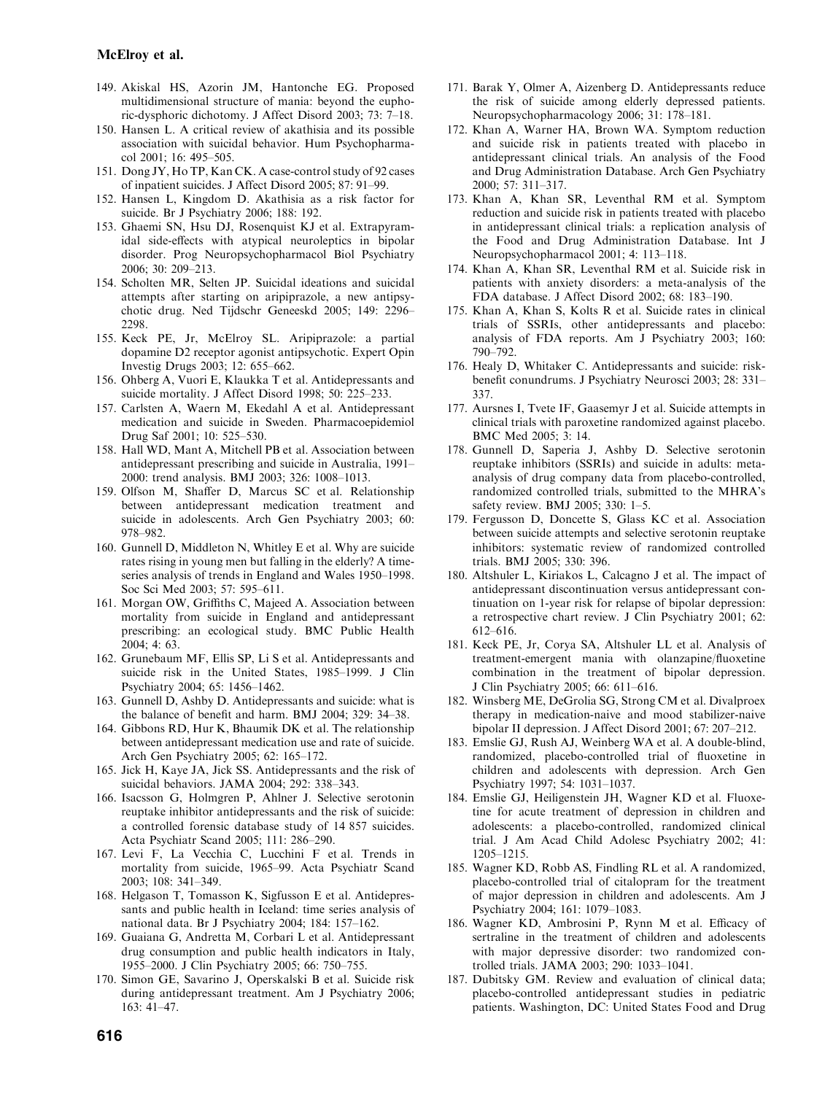- 149. Akiskal HS, Azorin JM, Hantonche EG. Proposed multidimensional structure of mania: beyond the euphoric-dysphoric dichotomy. J Affect Disord 2003; 73: 7–18.
- 150. Hansen L. A critical review of akathisia and its possible association with suicidal behavior. Hum Psychopharmacol 2001; 16: 495–505.
- 151. Dong JY, Ho TP, Kan CK. A case-control study of 92 cases of inpatient suicides. J Affect Disord 2005; 87: 91–99.
- 152. Hansen L, Kingdom D. Akathisia as a risk factor for suicide. Br J Psychiatry 2006; 188: 192.
- 153. Ghaemi SN, Hsu DJ, Rosenquist KJ et al. Extrapyramidal side-effects with atypical neuroleptics in bipolar disorder. Prog Neuropsychopharmacol Biol Psychiatry 2006; 30: 209–213.
- 154. Scholten MR, Selten JP. Suicidal ideations and suicidal attempts after starting on aripiprazole, a new antipsychotic drug. Ned Tijdschr Geneeskd 2005; 149: 2296– 2298.
- 155. Keck PE, Jr, McElroy SL. Aripiprazole: a partial dopamine D2 receptor agonist antipsychotic. Expert Opin Investig Drugs 2003; 12: 655–662.
- 156. Ohberg A, Vuori E, Klaukka T et al. Antidepressants and suicide mortality. J Affect Disord 1998; 50: 225–233.
- 157. Carlsten A, Waern M, Ekedahl A et al. Antidepressant medication and suicide in Sweden. Pharmacoepidemiol Drug Saf 2001; 10: 525–530.
- 158. Hall WD, Mant A, Mitchell PB et al. Association between antidepressant prescribing and suicide in Australia, 1991– 2000: trend analysis. BMJ 2003; 326: 1008–1013.
- 159. Olfson M, Shaffer D, Marcus SC et al. Relationship between antidepressant medication treatment and suicide in adolescents. Arch Gen Psychiatry 2003; 60: 978–982.
- 160. Gunnell D, Middleton N, Whitley E et al. Why are suicide rates rising in young men but falling in the elderly? A timeseries analysis of trends in England and Wales 1950–1998. Soc Sci Med 2003; 57: 595–611.
- 161. Morgan OW, Griffiths C, Majeed A. Association between mortality from suicide in England and antidepressant prescribing: an ecological study. BMC Public Health 2004; 4: 63.
- 162. Grunebaum MF, Ellis SP, Li S et al. Antidepressants and suicide risk in the United States, 1985–1999. J Clin Psychiatry 2004; 65: 1456–1462.
- 163. Gunnell D, Ashby D. Antidepressants and suicide: what is the balance of benefit and harm. BMJ 2004; 329: 34–38.
- 164. Gibbons RD, Hur K, Bhaumik DK et al. The relationship between antidepressant medication use and rate of suicide. Arch Gen Psychiatry 2005; 62: 165–172.
- 165. Jick H, Kaye JA, Jick SS. Antidepressants and the risk of suicidal behaviors. JAMA 2004; 292: 338–343.
- 166. Isacsson G, Holmgren P, Ahlner J. Selective serotonin reuptake inhibitor antidepressants and the risk of suicide: a controlled forensic database study of 14 857 suicides. Acta Psychiatr Scand 2005; 111: 286–290.
- 167. Levi F, La Vecchia C, Lucchini F et al. Trends in mortality from suicide, 1965–99. Acta Psychiatr Scand 2003; 108: 341–349.
- 168. Helgason T, Tomasson K, Sigfusson E et al. Antidepressants and public health in Iceland: time series analysis of national data. Br J Psychiatry 2004; 184: 157–162.
- 169. Guaiana G, Andretta M, Corbari L et al. Antidepressant drug consumption and public health indicators in Italy, 1955–2000. J Clin Psychiatry 2005; 66: 750–755.
- 170. Simon GE, Savarino J, Operskalski B et al. Suicide risk during antidepressant treatment. Am J Psychiatry 2006; 163: 41–47.
- 171. Barak Y, Olmer A, Aizenberg D. Antidepressants reduce the risk of suicide among elderly depressed patients. Neuropsychopharmacology 2006; 31: 178–181.
- 172. Khan A, Warner HA, Brown WA. Symptom reduction and suicide risk in patients treated with placebo in antidepressant clinical trials. An analysis of the Food and Drug Administration Database. Arch Gen Psychiatry 2000; 57: 311–317.
- 173. Khan A, Khan SR, Leventhal RM et al. Symptom reduction and suicide risk in patients treated with placebo in antidepressant clinical trials: a replication analysis of the Food and Drug Administration Database. Int J Neuropsychopharmacol 2001; 4: 113–118.
- 174. Khan A, Khan SR, Leventhal RM et al. Suicide risk in patients with anxiety disorders: a meta-analysis of the FDA database. J Affect Disord 2002; 68: 183–190.
- 175. Khan A, Khan S, Kolts R et al. Suicide rates in clinical trials of SSRIs, other antidepressants and placebo: analysis of FDA reports. Am J Psychiatry 2003; 160: 790–792.
- 176. Healy D, Whitaker C. Antidepressants and suicide: riskbenefit conundrums. J Psychiatry Neurosci 2003; 28: 331– 337.
- 177. Aursnes I, Tvete IF, Gaasemyr J et al. Suicide attempts in clinical trials with paroxetine randomized against placebo. BMC Med 2005; 3: 14.
- 178. Gunnell D, Saperia J, Ashby D. Selective serotonin reuptake inhibitors (SSRIs) and suicide in adults: metaanalysis of drug company data from placebo-controlled, randomized controlled trials, submitted to the MHRA's safety review. BMJ 2005; 330: 1–5.
- 179. Fergusson D, Doncette S, Glass KC et al. Association between suicide attempts and selective serotonin reuptake inhibitors: systematic review of randomized controlled trials. BMJ 2005; 330: 396.
- 180. Altshuler L, Kiriakos L, Calcagno J et al. The impact of antidepressant discontinuation versus antidepressant continuation on 1-year risk for relapse of bipolar depression: a retrospective chart review. J Clin Psychiatry 2001; 62: 612–616.
- 181. Keck PE, Jr, Corya SA, Altshuler LL et al. Analysis of treatment-emergent mania with olanzapine/fluoxetine combination in the treatment of bipolar depression. J Clin Psychiatry 2005; 66: 611–616.
- 182. Winsberg ME, DeGrolia SG, Strong CM et al. Divalproex therapy in medication-naive and mood stabilizer-naive bipolar II depression. J Affect Disord 2001; 67: 207–212.
- 183. Emslie GJ, Rush AJ, Weinberg WA et al. A double-blind, randomized, placebo-controlled trial of fluoxetine in children and adolescents with depression. Arch Gen Psychiatry 1997; 54: 1031–1037.
- 184. Emslie GJ, Heiligenstein JH, Wagner KD et al. Fluoxetine for acute treatment of depression in children and adolescents: a placebo-controlled, randomized clinical trial. J Am Acad Child Adolesc Psychiatry 2002; 41: 1205–1215.
- 185. Wagner KD, Robb AS, Findling RL et al. A randomized, placebo-controlled trial of citalopram for the treatment of major depression in children and adolescents. Am J Psychiatry 2004; 161: 1079–1083.
- 186. Wagner KD, Ambrosini P, Rynn M et al. Efficacy of sertraline in the treatment of children and adolescents with major depressive disorder: two randomized controlled trials. JAMA 2003; 290: 1033–1041.
- 187. Dubitsky GM. Review and evaluation of clinical data; placebo-controlled antidepressant studies in pediatric patients. Washington, DC: United States Food and Drug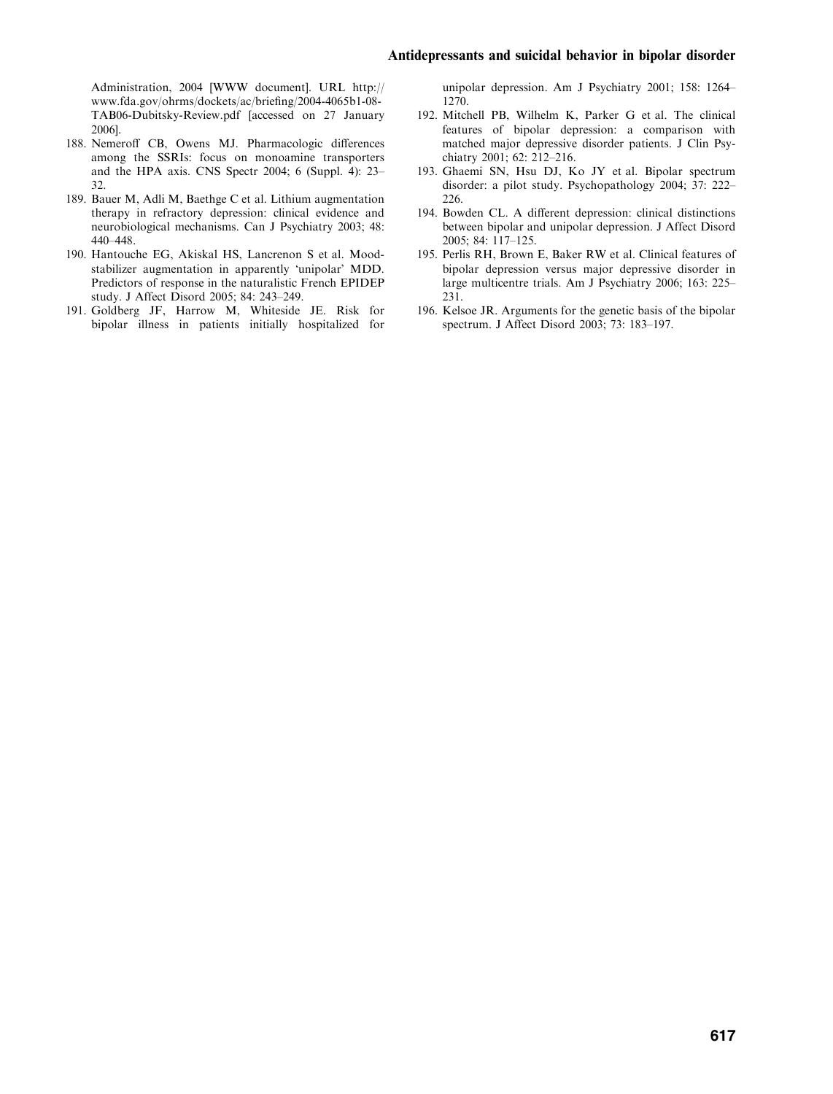#### Antidepressants and suicidal behavior in bipolar disorder

Administration, 2004 [WWW document]. URL http:// www.fda.gov/ohrms/dockets/ac/briefing/2004-4065b1-08- TAB06-Dubitsky-Review.pdf [accessed on 27 January 2006].

- 188. Nemeroff CB, Owens MJ. Pharmacologic differences among the SSRIs: focus on monoamine transporters and the HPA axis. CNS Spectr 2004; 6 (Suppl. 4): 23– 32.
- 189. Bauer M, Adli M, Baethge C et al. Lithium augmentation therapy in refractory depression: clinical evidence and neurobiological mechanisms. Can J Psychiatry 2003; 48: 440–448.
- 190. Hantouche EG, Akiskal HS, Lancrenon S et al. Moodstabilizer augmentation in apparently 'unipolar' MDD. Predictors of response in the naturalistic French EPIDEP study. J Affect Disord 2005; 84: 243–249.
- 191. Goldberg JF, Harrow M, Whiteside JE. Risk for bipolar illness in patients initially hospitalized for

unipolar depression. Am J Psychiatry 2001; 158: 1264– 1270.

- 192. Mitchell PB, Wilhelm K, Parker G et al. The clinical features of bipolar depression: a comparison with matched major depressive disorder patients. J Clin Psychiatry 2001; 62: 212–216.
- 193. Ghaemi SN, Hsu DJ, Ko JY et al. Bipolar spectrum disorder: a pilot study. Psychopathology 2004; 37: 222– 226.
- 194. Bowden CL. A different depression: clinical distinctions between bipolar and unipolar depression. J Affect Disord 2005; 84: 117–125.
- 195. Perlis RH, Brown E, Baker RW et al. Clinical features of bipolar depression versus major depressive disorder in large multicentre trials. Am J Psychiatry 2006; 163: 225– 231.
- 196. Kelsoe JR. Arguments for the genetic basis of the bipolar spectrum. J Affect Disord 2003; 73: 183–197.